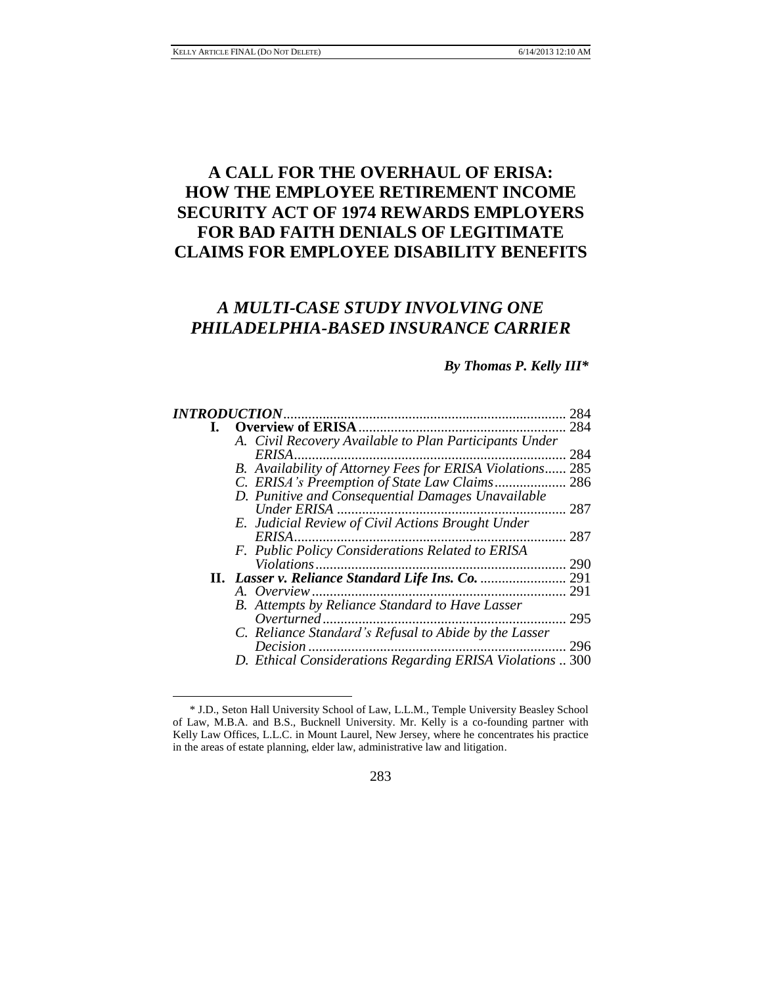l

# **A CALL FOR THE OVERHAUL OF ERISA: HOW THE EMPLOYEE RETIREMENT INCOME SECURITY ACT OF 1974 REWARDS EMPLOYERS FOR BAD FAITH DENIALS OF LEGITIMATE CLAIMS FOR EMPLOYEE DISABILITY BENEFITS**

# *A MULTI-CASE STUDY INVOLVING ONE PHILADELPHIA-BASED INSURANCE CARRIER*

#### *By Thomas P. Kelly III\**

|  |                                                           | 284 |
|--|-----------------------------------------------------------|-----|
|  |                                                           | 284 |
|  | A. Civil Recovery Available to Plan Participants Under    |     |
|  | ERISA.                                                    | 284 |
|  | B. Availability of Attorney Fees for ERISA Violations 285 |     |
|  |                                                           |     |
|  | D. Punitive and Consequential Damages Unavailable         |     |
|  | Under ERISA                                               | 287 |
|  | E. Judicial Review of Civil Actions Brought Under         |     |
|  | ERISA                                                     | 287 |
|  | F. Public Policy Considerations Related to ERISA          |     |
|  | Violations<br>.                                           | 290 |
|  |                                                           | 291 |
|  | .                                                         | 291 |
|  | B. Attempts by Reliance Standard to Have Lasser           |     |
|  | Overturned.                                               | 295 |
|  | C. Reliance Standard's Refusal to Abide by the Lasser     |     |
|  | Decision.                                                 | 296 |
|  | D. Ethical Considerations Regarding ERISA Violations  300 |     |
|  |                                                           |     |

#### 283

<sup>\*</sup> J.D., Seton Hall University School of Law, L.L.M., Temple University Beasley School of Law, M.B.A. and B.S., Bucknell University. Mr. Kelly is a co-founding partner with Kelly Law Offices, L.L.C. in Mount Laurel, New Jersey, where he concentrates his practice in the areas of estate planning, elder law, administrative law and litigation.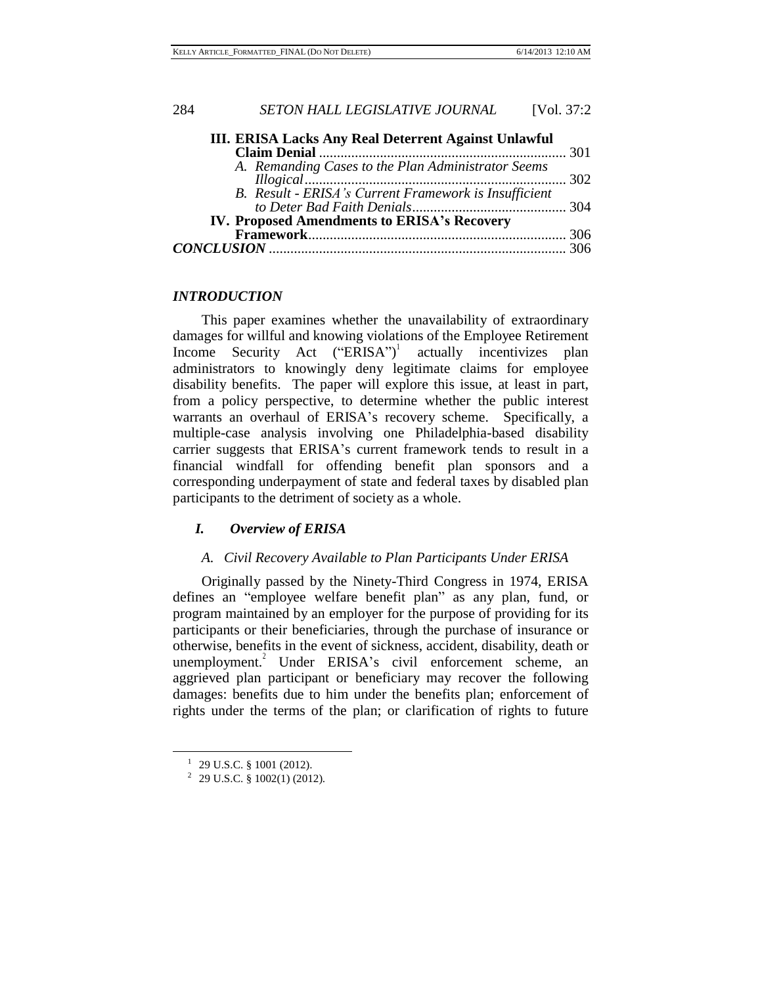| III. ERISA Lacks Any Real Deterrent Against Unlawful  |  |
|-------------------------------------------------------|--|
|                                                       |  |
| A. Remanding Cases to the Plan Administrator Seems    |  |
|                                                       |  |
| B. Result - ERISA's Current Framework is Insufficient |  |
|                                                       |  |
| IV. Proposed Amendments to ERISA's Recovery           |  |
|                                                       |  |
|                                                       |  |
|                                                       |  |

#### *INTRODUCTION*

This paper examines whether the unavailability of extraordinary damages for willful and knowing violations of the Employee Retirement Income Security Act ("ERISA")<sup>1</sup> actually incentivizes plan administrators to knowingly deny legitimate claims for employee disability benefits. The paper will explore this issue, at least in part, from a policy perspective, to determine whether the public interest warrants an overhaul of ERISA's recovery scheme. Specifically, a multiple-case analysis involving one Philadelphia-based disability carrier suggests that ERISA's current framework tends to result in a financial windfall for offending benefit plan sponsors and a corresponding underpayment of state and federal taxes by disabled plan participants to the detriment of society as a whole.

#### *I. Overview of ERISA*

#### *A. Civil Recovery Available to Plan Participants Under ERISA*

Originally passed by the Ninety-Third Congress in 1974, ERISA defines an "employee welfare benefit plan" as any plan, fund, or program maintained by an employer for the purpose of providing for its participants or their beneficiaries, through the purchase of insurance or otherwise, benefits in the event of sickness, accident, disability, death or unemployment.<sup>2</sup> Under ERISA's civil enforcement scheme, an aggrieved plan participant or beneficiary may recover the following damages: benefits due to him under the benefits plan; enforcement of rights under the terms of the plan; or clarification of rights to future

 $1$  29 U.S.C. § 1001 (2012).

<sup>&</sup>lt;sup>2</sup> 29 U.S.C. § 1002(1) (2012).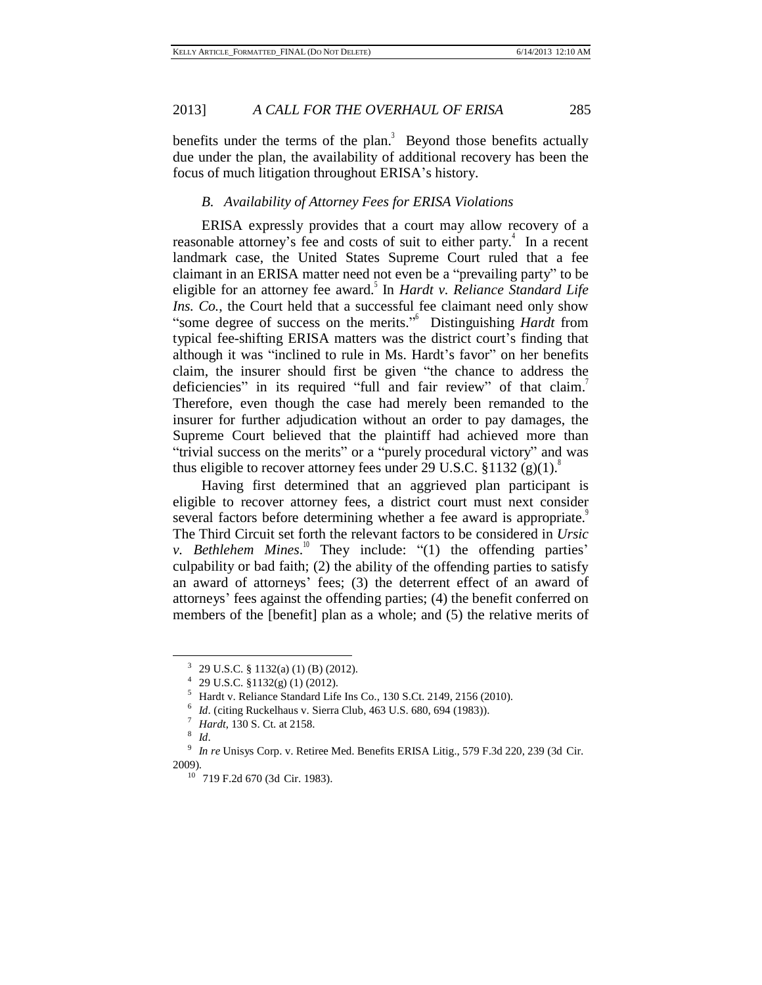benefits under the terms of the plan.<sup>3</sup> Beyond those benefits actually due under the plan, the availability of additional recovery has been the focus of much litigation throughout ERISA's history.

#### *B. Availability of Attorney Fees for ERISA Violations*

ERISA expressly provides that a court may allow recovery of a reasonable attorney's fee and costs of suit to either party.<sup>4</sup> In a recent landmark case, the United States Supreme Court ruled that a fee claimant in an ERISA matter need not even be a "prevailing party" to be eligible for an attorney fee award. 5 In *Hardt v. Reliance Standard Life Ins. Co.*, the Court held that a successful fee claimant need only show "some degree of success on the merits." <sup>6</sup> Distinguishing *Hardt* from typical fee-shifting ERISA matters was the district court's finding that although it was "inclined to rule in Ms. Hardt's favor" on her benefits claim, the insurer should first be given "the chance to address the deficiencies" in its required "full and fair review" of that claim. Therefore, even though the case had merely been remanded to the insurer for further adjudication without an order to pay damages, the Supreme Court believed that the plaintiff had achieved more than "trivial success on the merits" or a "purely procedural victory" and was thus eligible to recover attorney fees under 29 U.S.C.  $$1132 (g)(1).$ <sup>8</sup>

Having first determined that an aggrieved plan participant is eligible to recover attorney fees, a district court must next consider several factors before determining whether a fee award is appropriate. The Third Circuit set forth the relevant factors to be considered in *Ursic v. Bethlehem Mines.*<sup>10</sup> They include: "(1) the offending parties' culpability or bad faith; (2) the ability of the offending parties to satisfy an award of attorneys' fees; (3) the deterrent effect of an award of attorneys' fees against the offending parties; (4) the benefit conferred on members of the [benefit] plan as a whole; and (5) the relative merits of

<sup>&</sup>lt;sup>3</sup> 29 U.S.C. § 1132(a) (1) (B) (2012).

 $4$  29 U.S.C. §1132(g) (1) (2012).

<sup>5</sup> Hardt v. Reliance Standard Life Ins Co., 130 S.Ct. 2149, 2156 (2010).

<sup>6</sup> *Id.* (citing Ruckelhaus v. Sierra Club, 463 U.S. 680, 694 (1983)).

<sup>7</sup> *Hardt*, 130 S. Ct. at 2158.

<sup>8</sup> *Id*.

<sup>9</sup> *In re* Unisys Corp. v. Retiree Med. Benefits ERISA Litig., 579 F.3d 220, 239 (3d Cir. 2009).

<sup>10</sup> 719 F.2d 670 (3d Cir. 1983).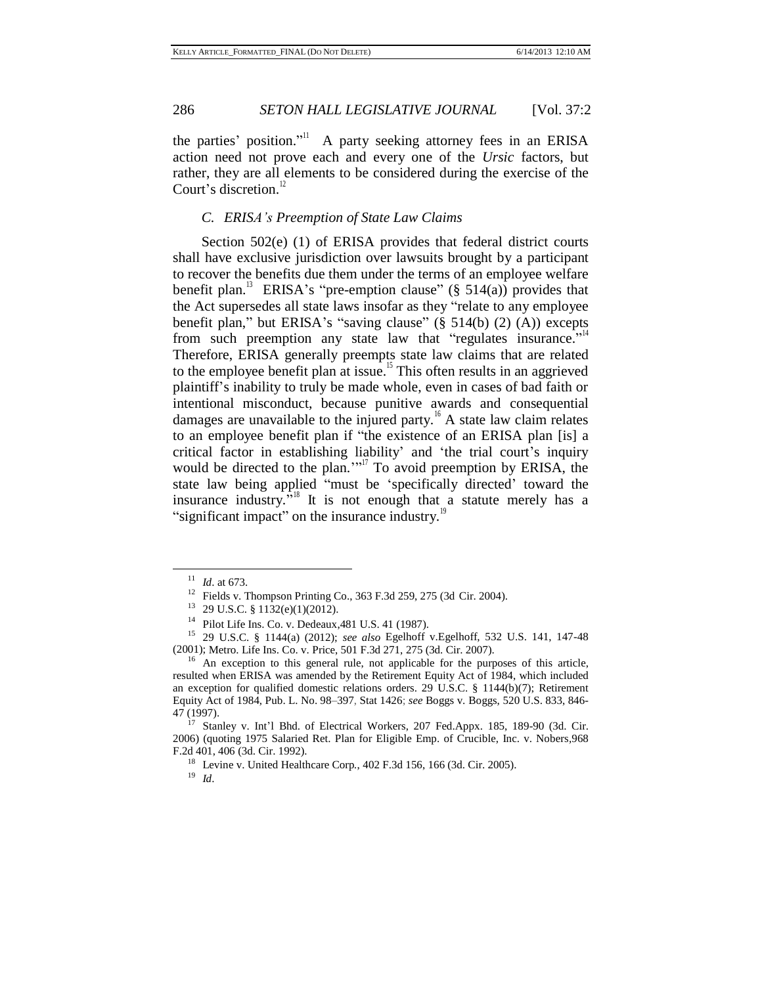the parties' position." A party seeking attorney fees in an ERISA action need not prove each and every one of the *Ursic* factors, but rather, they are all elements to be considered during the exercise of the Court's discretion.<sup>12</sup>

#### *C. ERISA's Preemption of State Law Claims*

Section 502(e) (1) of ERISA provides that federal district courts shall have exclusive jurisdiction over lawsuits brought by a participant to recover the benefits due them under the terms of an employee welfare benefit plan.<sup>13</sup> ERISA's "pre-emption clause" (§ 514(a)) provides that the Act supersedes all state laws insofar as they "relate to any employee benefit plan," but ERISA's "saving clause"  $(\S 514(b) (2) (A))$  excepts from such preemption any state law that "regulates insurance."<sup>14</sup> Therefore, ERISA generally preempts state law claims that are related to the employee benefit plan at issue.<sup>15</sup> This often results in an aggrieved plaintiff's inability to truly be made whole, even in cases of bad faith or intentional misconduct, because punitive awards and consequential damages are unavailable to the injured party.<sup>16</sup> A state law claim relates to an employee benefit plan if "the existence of an ERISA plan [is] a critical factor in establishing liability' and 'the trial court's inquiry would be directed to the plan."<sup>17</sup> To avoid preemption by ERISA, the state law being applied "must be 'specifically directed' toward the insurance industry."<sup>8</sup> It is not enough that a statute merely has a "significant impact" on the insurance industry.<sup>19</sup>

<sup>11</sup> *Id*. at 673.

<sup>12</sup> Fields v. Thompson Printing Co., 363 F.3d 259, 275 (3d Cir. 2004).

<sup>13</sup> 29 U.S.C. § 1132(e)(1)(2012).

<sup>14</sup> Pilot Life Ins. Co. v. Dedeaux,481 U.S. 41 (1987).

<sup>15</sup> 29 U.S.C. § 1144(a) (2012); *see also* Egelhoff v.Egelhoff, 532 U.S. 141, 147-48 (2001); Metro. Life Ins. Co. v. Price, 501 F.3d 271, 275 (3d. Cir. 2007).

<sup>&</sup>lt;sup>16</sup> An exception to this general rule, not applicable for the purposes of this article, resulted when ERISA was amended by the Retirement Equity Act of 1984, which included an exception for qualified domestic relations orders. 29 U.S.C. § 1144(b)(7); Retirement Equity Act of 1984, Pub. L. No. 98–397, Stat 1426; *see* Boggs v. Boggs, 520 U.S. 833, 846- 47 (1997).

<sup>&</sup>lt;sup>17</sup> Stanley v. Int'l Bhd. of Electrical Workers, 207 Fed.Appx. 185, 189-90 (3d. Cir. 2006) (quoting 1975 Salaried Ret. Plan for Eligible Emp. of Crucible, Inc. v. Nobers*,*968 F.2d 401, 406 (3d. Cir. 1992).

<sup>18</sup> Levine v. United Healthcare Corp*.*, 402 F.3d 156, 166 (3d. Cir. 2005).

<sup>19</sup> *Id*.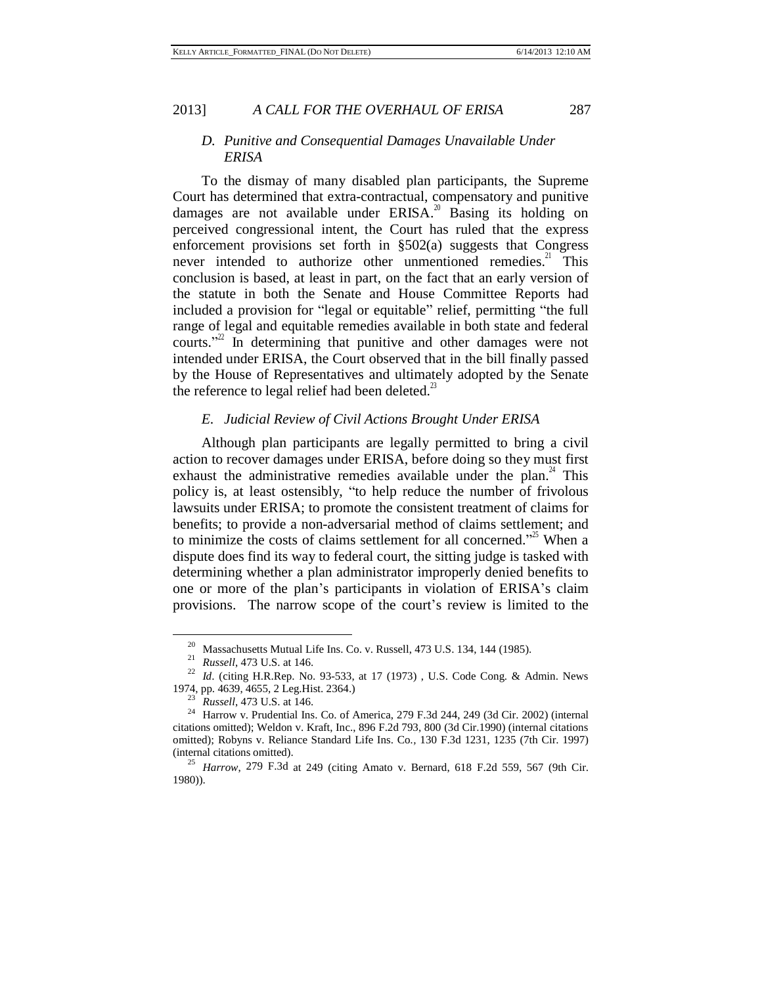#### *D. Punitive and Consequential Damages Unavailable Under ERISA*

To the dismay of many disabled plan participants, the Supreme Court has determined that extra-contractual, compensatory and punitive damages are not available under  $ERISA$ <sup>20</sup> Basing its holding on perceived congressional intent, the Court has ruled that the express enforcement provisions set forth in §502(a) suggests that Congress never intended to authorize other unmentioned remedies.<sup>21</sup> This conclusion is based, at least in part, on the fact that an early version of the statute in both the Senate and House Committee Reports had included a provision for "legal or equitable" relief, permitting "the full range of legal and equitable remedies available in both state and federal courts."<sup>22</sup> In determining that punitive and other damages were not intended under ERISA, the Court observed that in the bill finally passed by the House of Representatives and ultimately adopted by the Senate the reference to legal relief had been deleted. $3$ 

#### *E. Judicial Review of Civil Actions Brought Under ERISA*

Although plan participants are legally permitted to bring a civil action to recover damages under ERISA, before doing so they must first exhaust the administrative remedies available under the plan. $4^4$  This policy is, at least ostensibly, "to help reduce the number of frivolous lawsuits under ERISA; to promote the consistent treatment of claims for benefits; to provide a non-adversarial method of claims settlement; and to minimize the costs of claims settlement for all concerned.<sup> $2^{\text{th}}$ </sup> When a dispute does find its way to federal court, the sitting judge is tasked with determining whether a plan administrator improperly denied benefits to one or more of the plan's participants in violation of ERISA's claim provisions. The narrow scope of the court's review is limited to the

 $^{20}$  Massachusetts Mutual Life Ins. Co. v. Russell, 473 U.S. 134, 144 (1985).

<sup>21</sup> *Russell*, 473 U.S. at 146.

<sup>&</sup>lt;sup>22</sup> *Id.* (citing H.R.Rep. No. 93-533, at 17 (1973), U.S. Code Cong. & Admin. News 1974, pp. 4639, 4655, 2 Leg.Hist. 2364.)

<sup>23</sup> *Russell*, 473 U.S. at 146.

<sup>&</sup>lt;sup>24</sup> Harrow v. Prudential Ins. Co. of America, 279 F.3d 244, 249 (3d Cir. 2002) (internal citations omitted); Weldon v. Kraft, Inc., 896 F.2d 793, 800 (3d Cir.1990) (internal citations omitted); Robyns v. Reliance Standard Life Ins. Co*.,* 130 F.3d 1231, 1235 (7th Cir. 1997) (internal citations omitted).

<sup>25</sup> *Harrow*, 279 F.3d at 249 (citing Amato v. Bernard, 618 F.2d 559, 567 (9th Cir. 1980)).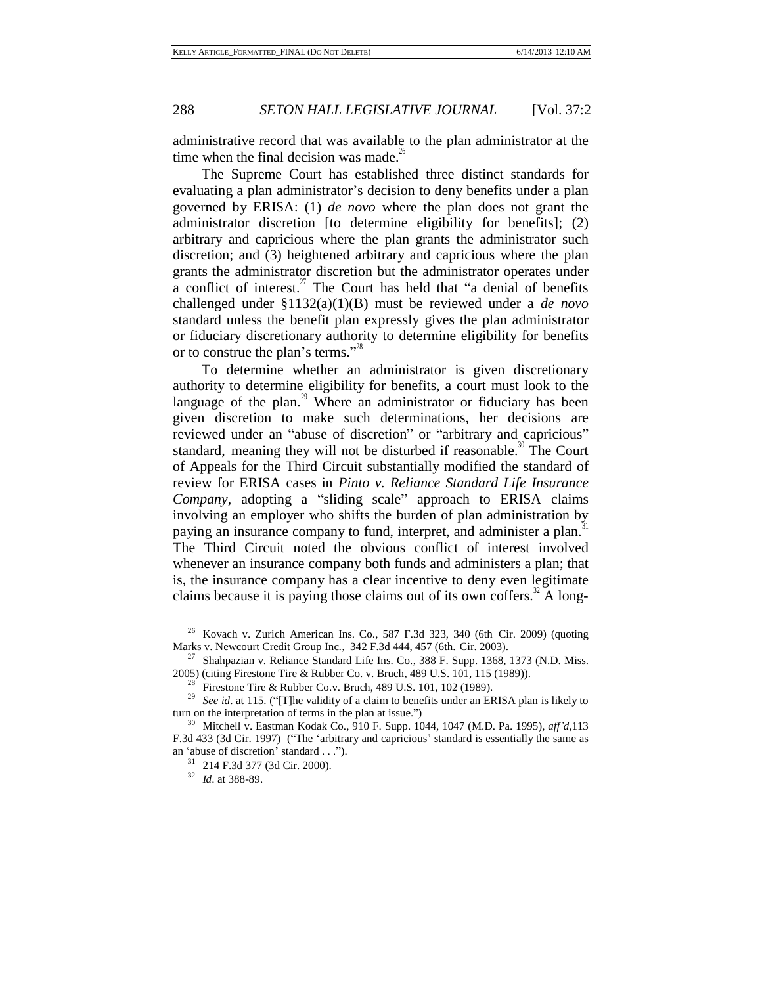administrative record that was available to the plan administrator at the time when the final decision was made. $^{26}$ 

The Supreme Court has established three distinct standards for evaluating a plan administrator's decision to deny benefits under a plan governed by ERISA: (1) *de novo* where the plan does not grant the administrator discretion [to determine eligibility for benefits]; (2) arbitrary and capricious where the plan grants the administrator such discretion; and (3) heightened arbitrary and capricious where the plan grants the administrator discretion but the administrator operates under a conflict of interest.<sup>27</sup> The Court has held that "a denial of benefits challenged under [§1132\(a\)\(1\)\(B\)](http://www.westlaw.com/Find/Default.wl?rs=dfa1.0&vr=2.0&DB=1000546&DocName=29USCAS1132&FindType=L) must be reviewed under a *de novo*  standard unless the benefit plan expressly gives the plan administrator or fiduciary discretionary authority to determine eligibility for benefits or to construe the plan's terms."<sup>28</sup>

To determine whether an administrator is given discretionary authority to determine eligibility for benefits, a court must look to the language of the plan. $\frac{29}{10}$  Where an administrator or fiduciary has been given discretion to make such determinations, her decisions are reviewed under an "abuse of discretion" or "arbitrary and capricious" standard, meaning they will not be disturbed if reasonable.<sup>30</sup> The Court of Appeals for the Third Circuit substantially modified the standard of review for ERISA cases in *[Pinto v. Reliance](http://www.westlaw.com/Find/Default.wl?rs=dfa1.0&vr=2.0&DB=506&FindType=Y&SerialNum=2000366288) Standard Life Insurance [Company,](http://www.westlaw.com/Find/Default.wl?rs=dfa1.0&vr=2.0&DB=506&FindType=Y&SerialNum=2000366288)* adopting a "sliding scale" approach to ERISA claims involving an employer who shifts the burden of plan administration by paying an insurance company to fund, interpret, and administer a plan.<sup>31</sup> The Third Circuit noted the obvious conflict of interest involved whenever an insurance company both funds and administers a plan; that is, the insurance company has a clear incentive to deny even legitimate claims because it is paying those claims out of its own coffers.<sup>32</sup> A long-

<sup>&</sup>lt;sup>26</sup> Kovach v. Zurich American Ins. Co., 587 F.3d 323, 340 (6th Cir. 2009) (quoting Marks v. Newcourt Credit Group Inc*.*, 342 F.3d 444, 457 (6th. Cir. 2003).

 $27$  Shahpazian v. Reliance Standard Life Ins. Co., 388 F. Supp. 1368, 1373 (N.D. Miss. 2005) (citing Firestone Tire & Rubber Co. v. Bruc[h, 489 U.S. 101, 115 \(1989\)\)](http://www.westlaw.com/Find/Default.wl?rs=dfa1.0&vr=2.0&DB=708&FindType=Y&SerialNum=1989026578).

<sup>&</sup>lt;sup>28</sup> [Firestone Tire](http://www.westlaw.com/Find/Default.wl?rs=dfa1.0&vr=2.0&DB=708&FindType=Y&SerialNum=1989026578) & Rubber Co.v. Bruch, 489 U.S. 101, 102 (1989).

<sup>29</sup> *See [id](http://www.westlaw.com/Find/Default.wl?rs=dfa1.0&vr=2.0&FindType=Y&SerialNum=1989026578)*[. at](http://www.westlaw.com/Find/Default.wl?rs=dfa1.0&vr=2.0&FindType=Y&SerialNum=1989026578) 115. ("[T]he validity of a claim to benefits under an ERISA plan is likely to turn on the interpretation of terms in the plan at issue.")

<sup>30</sup> Mitchell [v. Eastman Kodak Co.,](http://www.westlaw.com/Find/Default.wl?rs=dfa1.0&vr=2.0&DB=345&FindType=Y&ReferencePositionType=S&SerialNum=1996025318&ReferencePosition=1047) 910 [F. Supp. 1044, 1047 \(M.D. Pa. 1995\),](http://www.westlaw.com/Find/Default.wl?rs=dfa1.0&vr=2.0&DB=345&FindType=Y&ReferencePositionType=S&SerialNum=1996025318&ReferencePosition=1047) *aff'd*[,113](http://www.westlaw.com/Find/Default.wl?rs=dfa1.0&vr=2.0&DB=506&FindType=Y&SerialNum=1997105890) [F.3d 433 \(3d Cir. 1997\)](http://www.westlaw.com/Find/Default.wl?rs=dfa1.0&vr=2.0&DB=506&FindType=Y&SerialNum=1997105890) ("The 'arbitrary and capricious' standard is essentially the same as an 'abuse of discretion' standard . . .").

<sup>31</sup> [214 F.3d 377 \(3d Cir. 200](http://www.westlaw.com/Find/Default.wl?rs=dfa1.0&vr=2.0&DB=506&FindType=Y&SerialNum=2000366288)0).

<sup>32</sup> *[Id](http://www.westlaw.com/Find/Default.wl?rs=dfa1.0&vr=2.0&FindType=Y&SerialNum=2000366288)*. [at 388-89.](http://www.westlaw.com/Find/Default.wl?rs=dfa1.0&vr=2.0&FindType=Y&SerialNum=2000366288)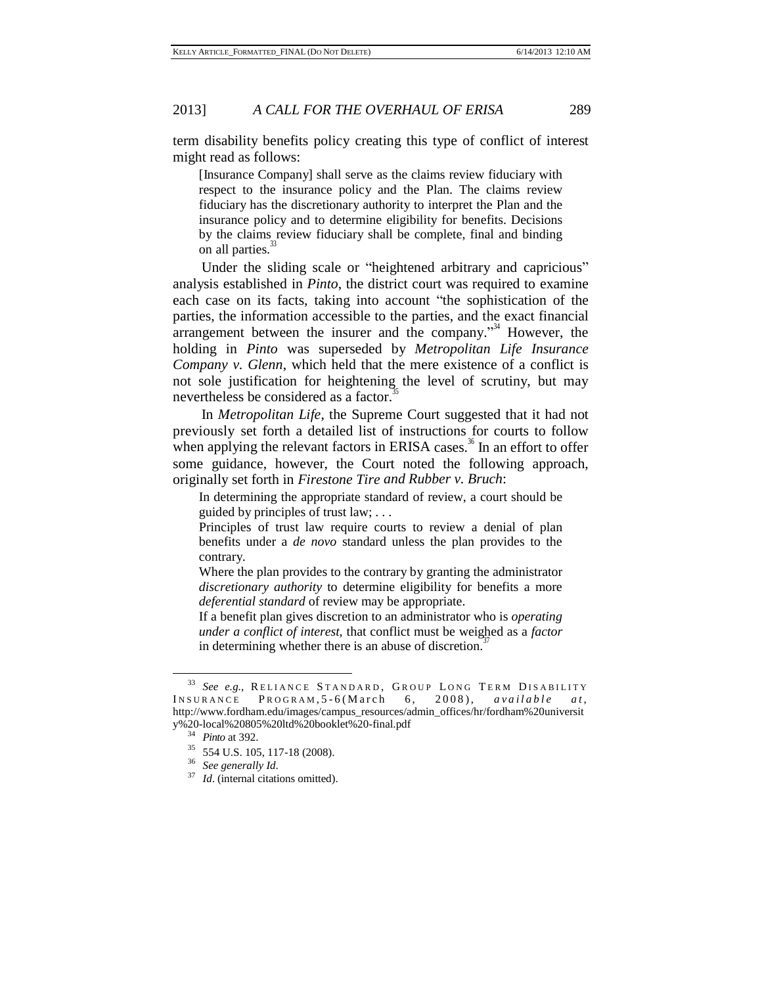term disability benefits policy creating this type of conflict of interest might read as follows:

[Insurance Company] shall serve as the claims review fiduciary with respect to the insurance policy and the Plan. The claims review fiduciary has the discretionary authority to interpret the Plan and the insurance policy and to determine eligibility for benefits. Decisions by the claims review fiduciary shall be complete, final and binding on all parties.<sup>33</sup>

Under the sliding scale or "heightened arbitrary and capricious" analysis established in *Pinto*, the district court was required to examine each case on its facts, taking into account "the sophistication of the parties, the information accessible to the parties, and the exact financial arrangement between the insurer and the company."<sup>34</sup> However, the holding in *Pinto* was superseded by *Metropolitan Life Insurance Company v. Glenn*, which held that the mere existence of a conflict is not sole justification for heightening the level of scrutiny, but may nevertheless be considered as a factor.<sup>35</sup>

In *Metropolitan Life*, the Supreme Court suggested that it had not previously set forth a detailed list of instructions for courts to follow when applying the relevant factors in ERISA cases.<sup>36</sup> In an effort to offer some guidance, however, the Court noted the following approach, originally set forth in *Firestone Tire and Rubber v. Bruch*:

In determining the appropriate standard of review, a court should be guided by principles of trust law; . . .

Principles of trust law require courts to review a denial of plan benefits under a *de novo* standard unless the plan provides to the contrary.

Where the plan provides to the contrary by granting the administrator *discretionary authority* to determine eligibility for benefits a more *deferential standard* of review may be appropriate.

If a benefit plan gives discretion to an administrator who is *operating under a conflict of interest,* that conflict must be weighed as a *factor* in determining whether there is an abuse of discretion.<sup>37</sup>

<sup>&</sup>lt;sup>33</sup> See e.g., RELIANCE STANDARD, GROUP LONG TERM DISABILITY INSURANCE PROGRAM, 5-6(March 6, 2008), *available at*, http://www.fordham.edu/images/campus\_resources/admin\_offices/hr/fordham%20universit y%20-local%20805%20ltd%20booklet%20-final.pdf

<sup>34</sup> *Pinto* at 392.

<sup>35</sup> 554 U.S. 105, 117-18 (2008).

<sup>36</sup> *See generally Id*.

<sup>&</sup>lt;sup>37</sup> *Id.* (internal [citations omitted\)](http://web2.westlaw.com/find/default.wl?vc=0&ordoc=2018719639&rp=%2ffind%2fdefault.wl&DB=708&SerialNum=1989026578&FindType=Y&AP&fn=_top&rs=WLW10.06&pbc=C931AD6B&ifm=NotSet&mt=208&vr=2.0&sv=Split).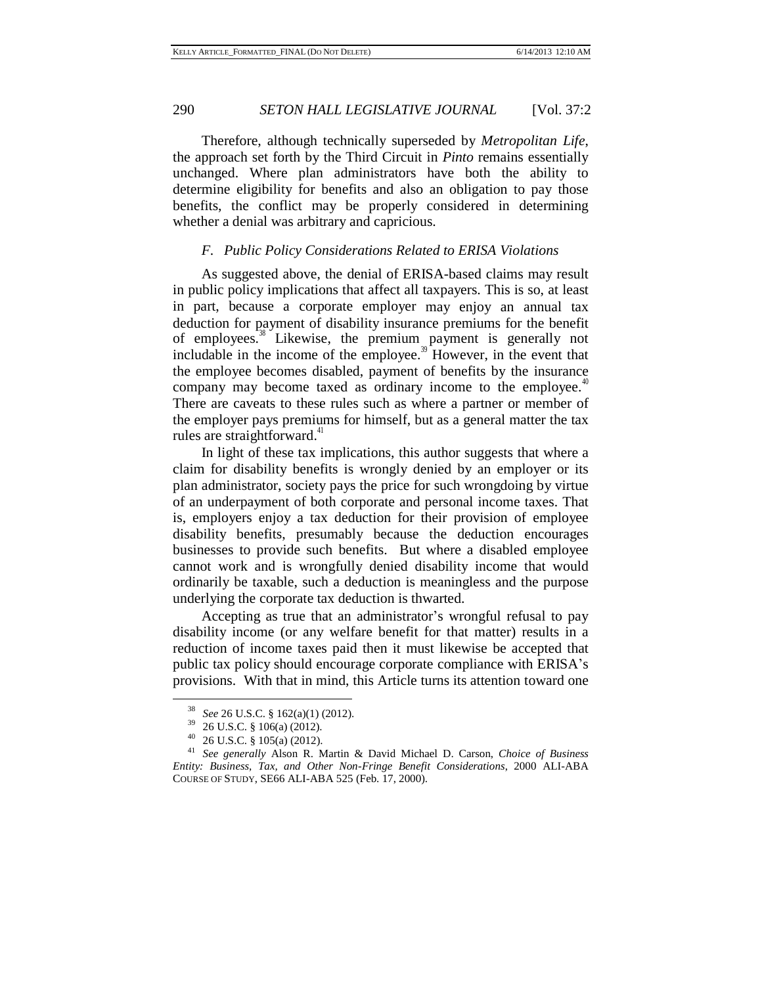Therefore, although technically superseded by *Metropolitan Life*, the approach set forth by the Third Circuit in *Pinto* remains essentially unchanged. Where plan administrators have both the ability to determine eligibility for benefits and also an obligation to pay those benefits, the conflict may be properly considered in determining whether a denial was arbitrary and capricious.

#### *F. Public Policy Considerations Related to ERISA Violations*

As suggested above, the denial of ERISA-based claims may result in public policy implications that affect all taxpayers. This is so, at least in part, because a corporate employer may enjoy an annual tax deduction for payment of disability insurance premiums for the benefit of employees.<sup>38</sup> Likewise, the premium payment is generally not includable in the income of the employee.<sup>39</sup> However, in the event that the employee becomes disabled, payment of benefits by the insurance company may become taxed as ordinary income to the employee. $40$ There are caveats to these rules such as where a partner or member of the employer pays premiums for himself, but as a general matter the tax rules are straightforward.<sup>41</sup>

In light of these tax implications, this author suggests that where a claim for disability benefits is wrongly denied by an employer or its plan administrator, society pays the price for such wrongdoing by virtue of an underpayment of both corporate and personal income taxes. That is, employers enjoy a tax deduction for their provision of employee disability benefits, presumably because the deduction encourages businesses to provide such benefits. But where a disabled employee cannot work and is wrongfully denied disability income that would ordinarily be taxable, such a deduction is meaningless and the purpose underlying the corporate tax deduction is thwarted.

Accepting as true that an administrator's wrongful refusal to pay disability income (or any welfare benefit for that matter) results in a reduction of income taxes paid then it must likewise be accepted that public tax policy should encourage corporate compliance with ERISA's provisions. With that in mind, this Article turns its attention toward one

<sup>38</sup> *See* 26 U.S.C. § 162(a)(1) (2012).

 $^{39}$  26 U.S.C. § 106(a) (2012).

<sup>26</sup> U.S.C. § 105(a) (2012).

<sup>41</sup> *See generally* Alson R. Martin & David Michael D. Carson, *Choice of Business Entity: Business, Tax, and Other Non-Fringe Benefit Considerations*, 2000 ALI-ABA COURSE OF STUDY, SE66 ALI-ABA 525 (Feb. 17, 2000).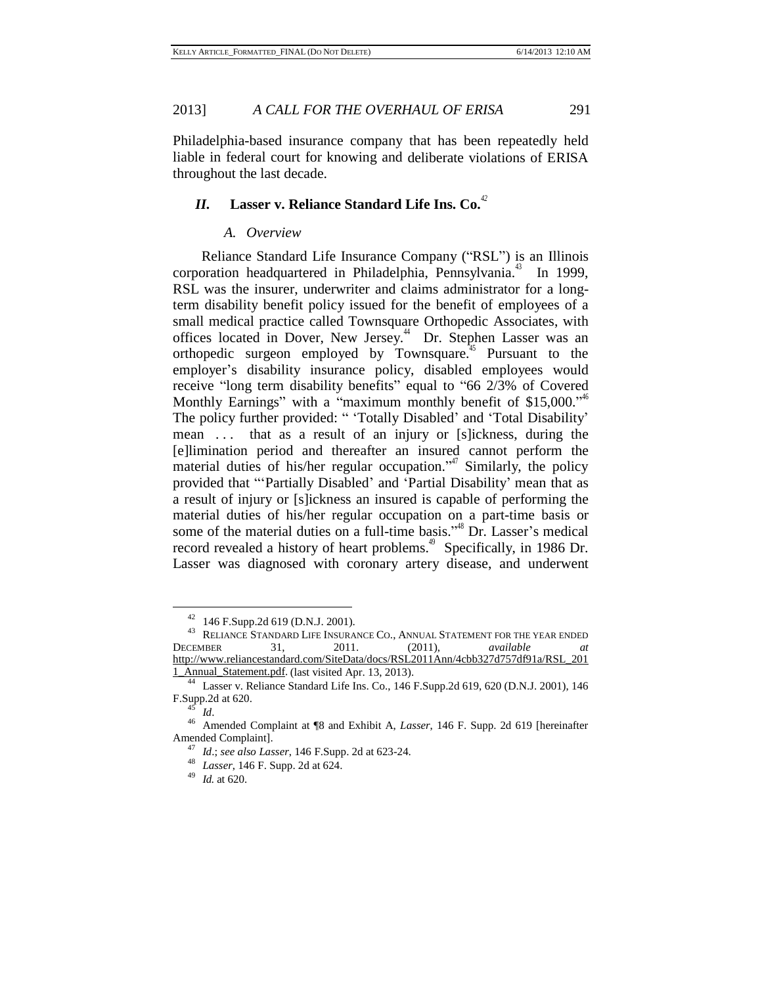Philadelphia-based insurance company that has been repeatedly held liable in federal court for knowing and deliberate violations of ERISA throughout the last decade.

## *II.* **Lasser v. Reliance Standard Life Ins. Co.** *42*

#### *A. Overview*

Reliance Standard Life Insurance Company ("RSL") is an Illinois corporation headquartered in Philadelphia, Pennsylvania.<sup>43</sup> In 1999, RSL was the insurer, underwriter and claims administrator for a longterm disability benefit policy issued for the benefit of employees of a small medical practice called Townsquare Orthopedic Associates, with offices located in Dover, New Jersey.<sup>44</sup> Dr. Stephen Lasser was an orthopedic surgeon employed by Townsquare. <sup>45</sup> Pursuant to the employer's disability insurance policy, disabled employees would receive "long term disability benefits" equal to "66 2/3% of Covered Monthly Earnings" with a "maximum monthly benefit of \$15,000."<sup>46</sup> The policy further provided: " 'Totally Disabled' and 'Total Disability' mean ... that as a result of an injury or [s]ickness, during the [e]limination period and thereafter an insured cannot perform the material duties of his/her regular occupation."<sup>47</sup> Similarly, the policy provided that "'Partially Disabled' and 'Partial Disability' mean that as a result of injury or [s]ickness an insured is capable of performing the material duties of his/her regular occupation on a part-time basis or some of the material duties on a full-time basis."<sup>48</sup> Dr. Lasser's medical record revealed a history of heart problems.<sup>49</sup> Specifically, in 1986 Dr. Lasser was diagnosed with coronary artery disease, and underwent

<sup>42</sup> 146 F.Supp.2d 619 (D.N.J. 2001).

<sup>&</sup>lt;sup>43</sup> RELIANCE STANDARD LIFE INSURANCE CO., ANNUAL STATEMENT FOR THE YEAR ENDED DECEMBER 31, 2011. (2011), *available at*  http://www.reliancestandard.com/SiteData/docs/RSL2011Ann/4cbb327d757df91a/RSL\_201 1\_Annual\_Statement.pdf. (last visited Apr. 13, 2013).

<sup>44</sup> Lasser v. Reliance Standard Life Ins. Co., 146 F.Supp.2d 619, 620 (D.N.J. 2001), 146 F.Supp.2d at 620.

<sup>45</sup> *Id*.

<sup>46</sup> Amended Complaint at ¶8 and Exhibit A, *Lasser*, 146 F. Supp. 2d 619 [hereinafter Amended Complaint].

<sup>47</sup> *Id*.; *see also Lasser*, 146 F.Supp. 2d at 623-24.

<sup>48</sup> *Lasser*, 146 F. Supp. 2d at 624.

<sup>49</sup> *Id.* at 620.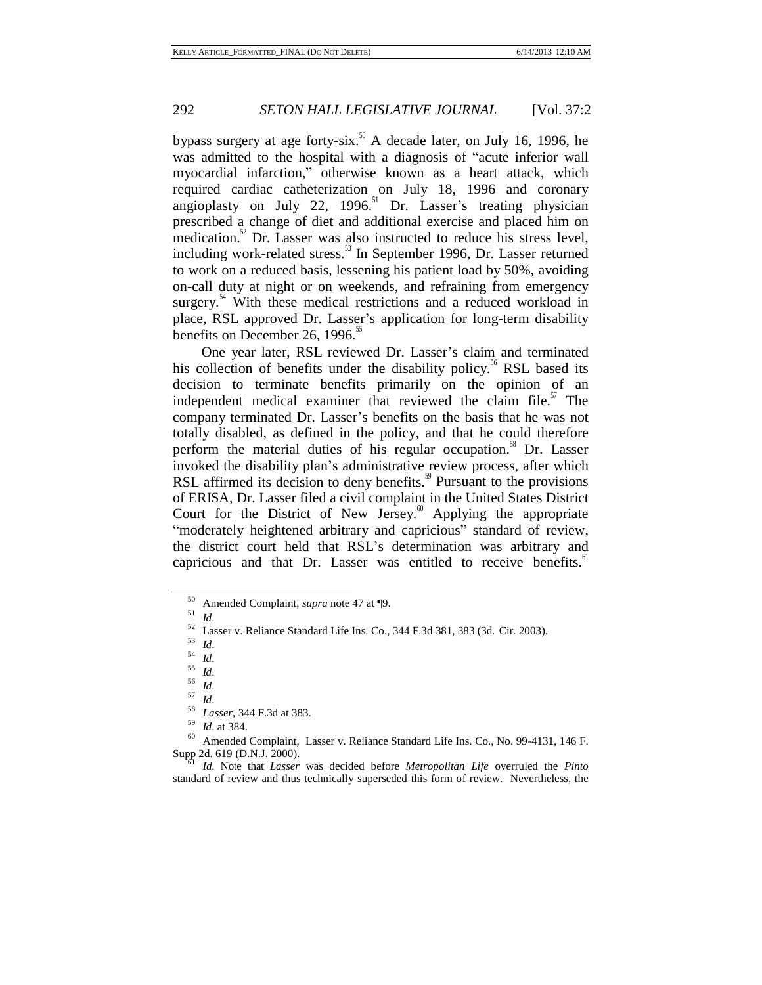bypass surgery at age forty-six.<sup>50</sup> A decade later, on July 16, 1996, he was admitted to the hospital with a diagnosis of "acute inferior wall myocardial infarction," otherwise known as a heart attack, which required cardiac catheterization on July 18, 1996 and coronary angioplasty on July 22, 1996. $51$  Dr. Lasser's treating physician prescribed a change of diet and additional exercise and placed him on medication.<sup>52</sup> Dr. Lasser was also instructed to reduce his stress level, including work-related stress.<sup>53</sup> In September 1996, Dr. Lasser returned to work on a reduced basis, lessening his patient load by 50%, avoiding on-call duty at night or on weekends, and refraining from emergency surgery.<sup>54</sup> With these medical restrictions and a reduced workload in place, RSL approved Dr. Lasser's application for long-term disability benefits on December 26, 1996.<sup>55</sup>

One year later, RSL reviewed Dr. Lasser's claim and terminated his collection of benefits under the disability policy.<sup>56</sup> RSL based its decision to terminate benefits primarily on the opinion of an independent medical examiner that reviewed the claim file. $\frac{5}{1}$  The company terminated Dr. Lasser's benefits on the basis that he was not totally disabled, as defined in the policy, and that he could therefore perform the material duties of his regular occupation.<sup>58</sup> Dr. Lasser invoked the disability plan's administrative review process, after which RSL affirmed its decision to deny benefits.<sup>59</sup> Pursuant to the provisions of ERISA, Dr. Lasser filed a civil complaint in the United States District Court for the District of New Jersey.<sup>60</sup> Applying the appropriate "moderately heightened arbitrary and capricious" standard of review, the district court held that RSL's determination was arbitrary and capricious and that Dr. Lasser was entitled to receive benefits. $61$ 

l

<sup>57</sup> *Id*.

<sup>50</sup> Amended Complaint, *supra* note 47 at ¶9.

 $\frac{51}{52}$  *Id.* 

 $^{52}$  Lasser v. Reliance Standard Life Ins. Co., 344 F.3d 381, 383 (3d. Cir. 2003).

 $\frac{53}{54}$  *Id.* 

 $\frac{54}{55}$  *Id.* 

 $\frac{55}{56}$  *Id.* 

 $rac{56}{57}$  *Id.* 

<sup>58</sup> *Lasser*, 344 F.3d at 383.

 $\frac{59}{60}$  *Id.* at 384.

Amended Complaint, Lasser v. Reliance Standard Life Ins. Co., No. 99-4131, 146 F. Supp 2d. 619 (D.N.J. 2000).

<sup>61</sup> *Id*. Note that *Lasser* was decided before *Metropolitan Life* overruled the *Pinto* standard of review and thus technically superseded this form of review. Nevertheless, the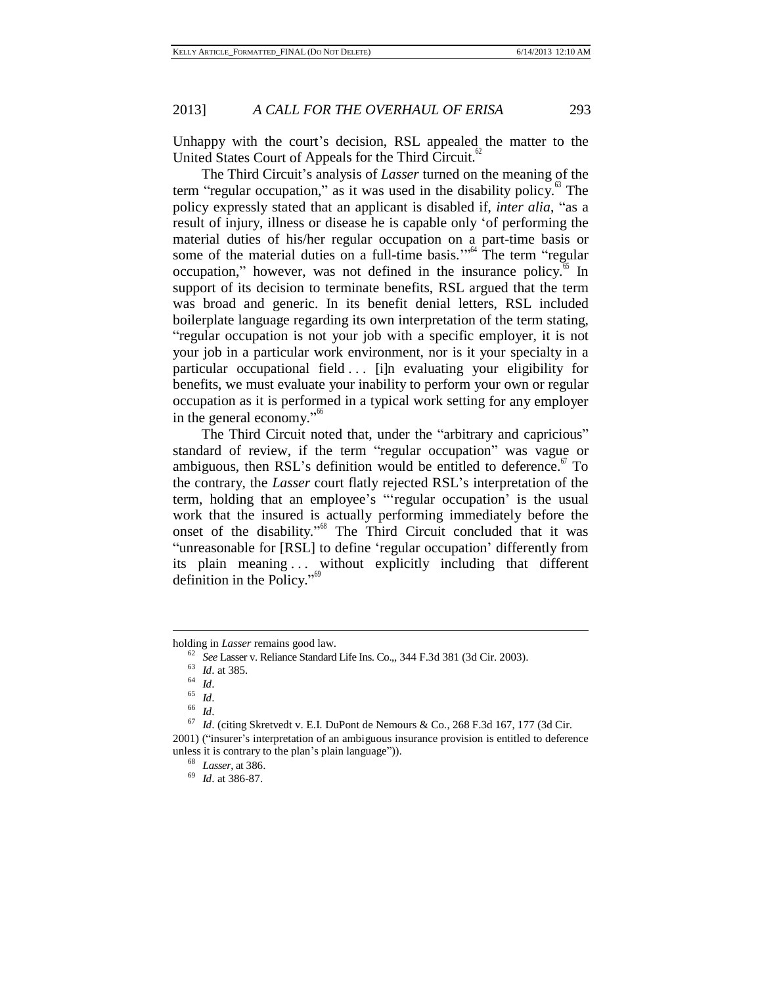Unhappy with the court's decision, RSL appealed the matter to the United States Court of Appeals for the Third Circuit. $62$ 

The Third Circuit's analysis of *Lasser* turned on the meaning of the term "regular occupation," as it was used in the disability policy.<sup>63</sup> The policy expressly stated that an applicant is disabled if, *inter alia*, "as a result of injury, illness or disease he is capable only 'of performing the material duties of his/her regular occupation on a part-time basis or some of the material duties on a full-time basis."<sup>64</sup> The term "regular occupation," however, was not defined in the insurance policy.<sup>65</sup> In support of its decision to terminate benefits, RSL argued that the term was broad and generic. In its benefit denial letters, RSL included boilerplate language regarding its own interpretation of the term stating, "regular occupation is not your job with a specific employer, it is not your job in a particular work environment, nor is it your specialty in a particular occupational field ... [i]n evaluating your eligibility for benefits, we must evaluate your inability to perform your own or regular occupation as it is performed in a typical work setting for any employer in the general economy."<sup>66</sup>

The Third Circuit noted that, under the "arbitrary and capricious" standard of review, if the term "regular occupation" was vague or ambiguous, then RSL's definition would be entitled to deference. $\mathbf{F}$  To the contrary, the *Lasser* court flatly rejected RSL's interpretation of the term, holding that an employee's "'regular occupation' is the usual work that the insured is actually performing immediately before the onset of the disability."<sup>68</sup> The Third Circuit concluded that it was "unreasonable for [RSL] to define 'regular occupation' differently from its plain meaning ... without explicitly including that different definition in the Policy." 69

holding in *Lasser* remains good law.

<sup>62</sup> *See* Lasser v. Reliance Standard Life Ins. Co.,, 344 F.3d 381 (3d Cir. 2003).

<sup>63</sup> *Id*. at 385.

 $\begin{array}{c} 64 \\ 65 \\ 1 \end{array}$  *Id*.

 $\begin{array}{c} 65 \\ 66 \end{array}$  *Id*.

 $\frac{66}{67}$  *Id*.

*Id.* (citing Skretvedt v. E.I. DuPont de Nemours & Co., 268 F.3d 167, 177 (3d Cir.

<sup>2001)</sup> ("insurer's interpretation of an ambiguous insurance provision is entitled to deference unless it is contrary to the plan's plain language")).

<sup>68</sup> *Lasser*, at 386.

<sup>69</sup> *Id*. at 386-87.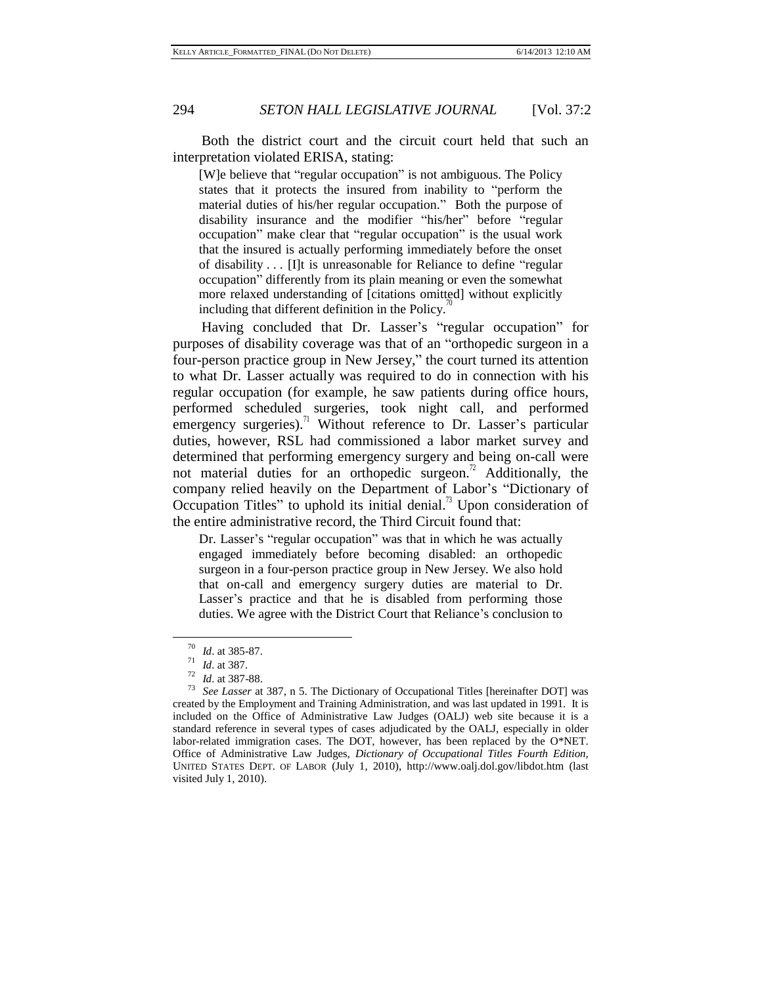Both the district court and the circuit court held that such an interpretation violated ERISA, stating:

[W]e believe that "regular occupation" is not ambiguous. The Policy states that it protects the insured from inability to "perform the material duties of his/her regular occupation." Both the purpose of disability insurance and the modifier "his/her" before "regular occupation" make clear that "regular occupation" is the usual work that the insured is actually performing immediately before the onset of disability . . . [I]t is unreasonable for Reliance to define "regular occupation" differently from its plain meaning or even the somewhat more relaxed understanding of [citations omitted] without explicitly including that different definition in the Policy. $\alpha$ 

Having concluded that Dr. Lasser's "regular occupation" for purposes of disability coverage was that of an "orthopedic surgeon in a four-person practice group in New Jersey," the court turned its attention to what Dr. Lasser actually was required to do in connection with his regular occupation (for example, he saw patients during office hours, performed scheduled surgeries, took night call, and performed emergency surgeries).<sup> $\text{1}$ </sup> Without reference to Dr. Lasser's particular duties, however, RSL had commissioned a labor market survey and determined that performing emergency surgery and being on-call were not material duties for an orthopedic surgeon.<sup> $\pi$ </sup> Additionally, the company relied heavily on the Department of Labor's "Dictionary of Occupation Titles" to uphold its initial denial.<sup>73</sup> Upon consideration of the entire administrative record, the Third Circuit found that:

Dr. Lasser's "regular occupation" was that in which he was actually engaged immediately before becoming disabled: an orthopedic surgeon in a four-person practice group in New Jersey. We also hold that on-call and emergency surgery duties are material to Dr. Lasser's practice and that he is disabled from performing those duties. We agree with the District Court that Reliance's conclusion to

<sup>70</sup> *Id*. at 385-87.

<sup>71</sup> *Id*. at 387.

 $\frac{72}{73}$  *Id.* at 387-88.

See Lasser at 387, n 5. The Dictionary of Occupational Titles [hereinafter DOT] was created by the Employment and Training Administration, and was last updated in 1991. It is included on the Office of Administrative Law Judges (OALJ) web site because it is a standard reference in several types of cases adjudicated by the OALJ, especially in older labor-related immigration cases. The DOT, however, has been replaced by the O\*NET. Office of Administrative Law Judges, *Dictionary of Occupational Titles Fourth Edition,*  UNITED STATES DEPT. OF LABOR (July 1, 2010),<http://www.oalj.dol.gov/libdot.htm> (last visited July 1, 2010).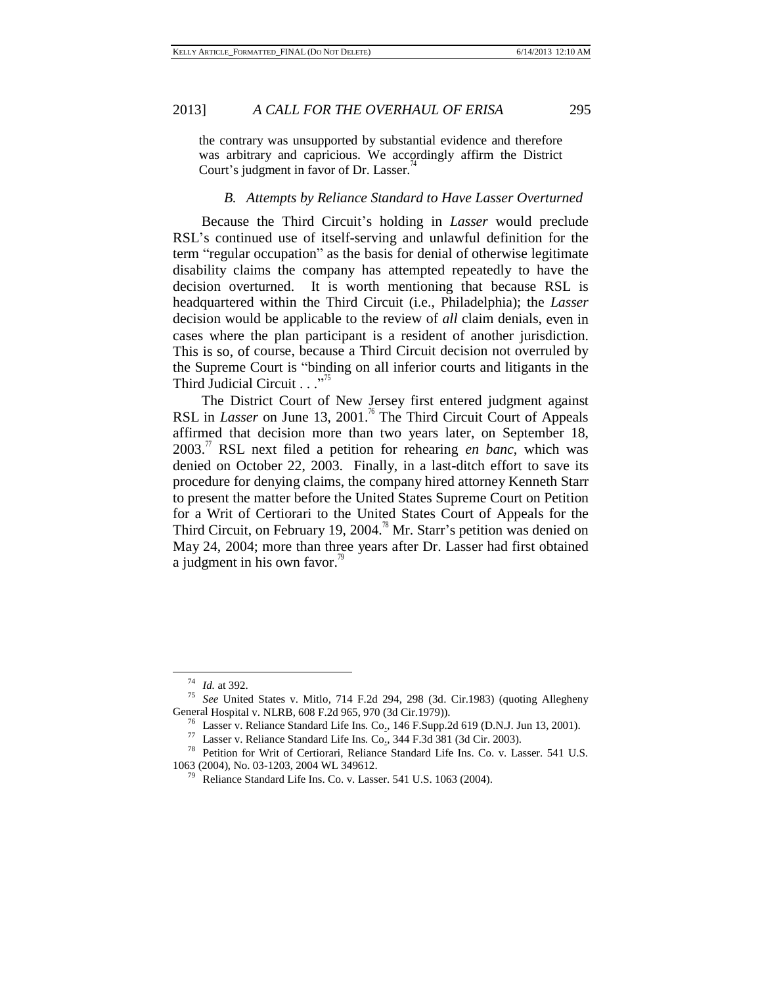the contrary was unsupported by substantial evidence and therefore was arbitrary and capricious. We accordingly affirm the District Court's judgment in favor of Dr. Lasser.<sup> $\frac{\pi}{4}$ </sup>

## *B. Attempts by Reliance Standard to Have Lasser Overturned*

Because the Third Circuit's holding in *Lasser* would preclude RSL's continued use of itself-serving and unlawful definition for the term "regular occupation" as the basis for denial of otherwise legitimate disability claims the company has attempted repeatedly to have the decision overturned. It is worth mentioning that because RSL is headquartered within the Third Circuit (i.e., Philadelphia); the *Lasser* decision would be applicable to the review of *all* claim denials, even in cases where the plan participant is a resident of another jurisdiction. This is so, of course, because a Third Circuit decision not overruled by the Supreme Court is "binding on all inferior courts and litigants in the Third Judicial Circuit  $\cdots$ <sup>75</sup>

The District Court of New Jersey first entered judgment against RSL in *Lasser* on June 13, 2001.<sup>76</sup> The Third Circuit Court of Appeals affirmed that decision more than two years later, on September 18,  $2003$ .<sup>77</sup> RSL next filed a petition for rehearing *en banc*, which was denied on October 22, 2003. Finally, in a last-ditch effort to save its procedure for denying claims, the company hired attorney Kenneth Starr to present the matter before the United States Supreme Court on Petition for a Writ of Certiorari to the United States Court of Appeals for the Third Circuit, on February 19, 2004.<sup>78</sup> Mr. Starr's petition was denied on May 24, 2004; more than three years after Dr. Lasser had first obtained a judgment in his own favor.<sup>79</sup>

<sup>74</sup> *Id.* at 392.

<sup>75</sup> *See* United States v. Mitlo*,* 714 F.2d 294, 298 (3d. Cir.1983) (quoting Allegheny General Hospital v. NLRB*,* 608 F.2d 965, 970 (3d Cir.1979)).

<sup>76</sup> Lasser v. Reliance Standard Life Ins*.* Co., 146 F.Supp.2d 619 (D.N.J. Jun 13, 2001).

<sup>77</sup> Lasser v. Reliance Standard Life Ins*.* Co., 344 F.3d 381 (3d Cir. 2003).

<sup>78</sup> Petition for Writ of Certiorari, Reliance Standard Life Ins. Co. v. Lasser. 541 U.S. 1063 (2004), No. 03-1203, 2004 WL 349612.

 $79$  Reliance Standard Life Ins. Co. v. Lasser. 541 U.S. 1063 (2004).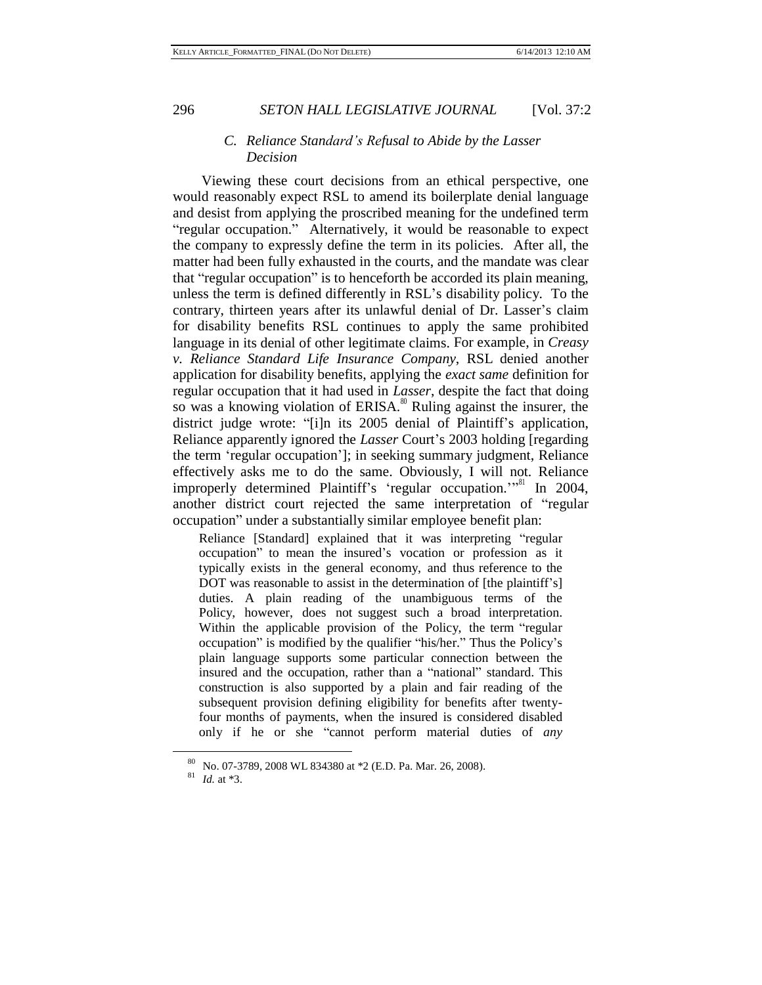#### *C. Reliance Standard's Refusal to Abide by the Lasser Decision*

Viewing these court decisions from an ethical perspective, one would reasonably expect RSL to amend its boilerplate denial language and desist from applying the proscribed meaning for the undefined term "regular occupation." Alternatively, it would be reasonable to expect the company to expressly define the term in its policies. After all, the matter had been fully exhausted in the courts, and the mandate was clear that "regular occupation" is to henceforth be accorded its plain meaning, unless the term is defined differently in RSL's disability policy. To the contrary, thirteen years after its unlawful denial of Dr. Lasser's claim for disability benefits RSL continues to apply the same prohibited language in its denial of other legitimate claims. For example, in *Creasy v. Reliance Standard Life Insurance Company*, RSL denied another application for disability benefits, applying the *exact same* definition for regular occupation that it had used in *Lasser*, despite the fact that doing so was a knowing violation of  $ERISA$ .<sup>80</sup> Ruling against the insurer, the district judge wrote: "[i]n its 2005 denial of Plaintiff's application, Reliance apparently ignored the *Lasser* Court's 2003 holding [regarding the term 'regular occupation']; in seeking summary judgment, Reliance effectively asks me to do the same. Obviously, I will not. Reliance improperly determined Plaintiff's 'regular occupation.'"<sup>81</sup> In 2004, another district court rejected the same interpretation of "regular occupation" under a substantially similar employee benefit plan:

Reliance [Standard] explained that it was interpreting "regular occupation" to mean the insured's vocation or profession as it typically exists in the general economy, and thus reference to the DOT was reasonable to assist in the determination of [the plaintiff's] duties. A plain reading of the unambiguous terms of the Policy, however, does not suggest such a broad interpretation. Within the applicable provision of the Policy, the term "regular occupation" is modified by the qualifier "his/her." Thus the Policy's plain language supports some particular connection between the insured and the occupation, rather than a "national" standard. This construction is also supported by a plain and fair reading of the subsequent provision defining eligibility for benefits after twentyfour months of payments, when the insured is considered disabled only if he or she "cannot perform material duties of *any*

<sup>80</sup> No. 07-3789, 2008 WL 834380 at \*2 (E.D. Pa. Mar. 26, 2008).

<sup>81</sup> *Id.* at \*3.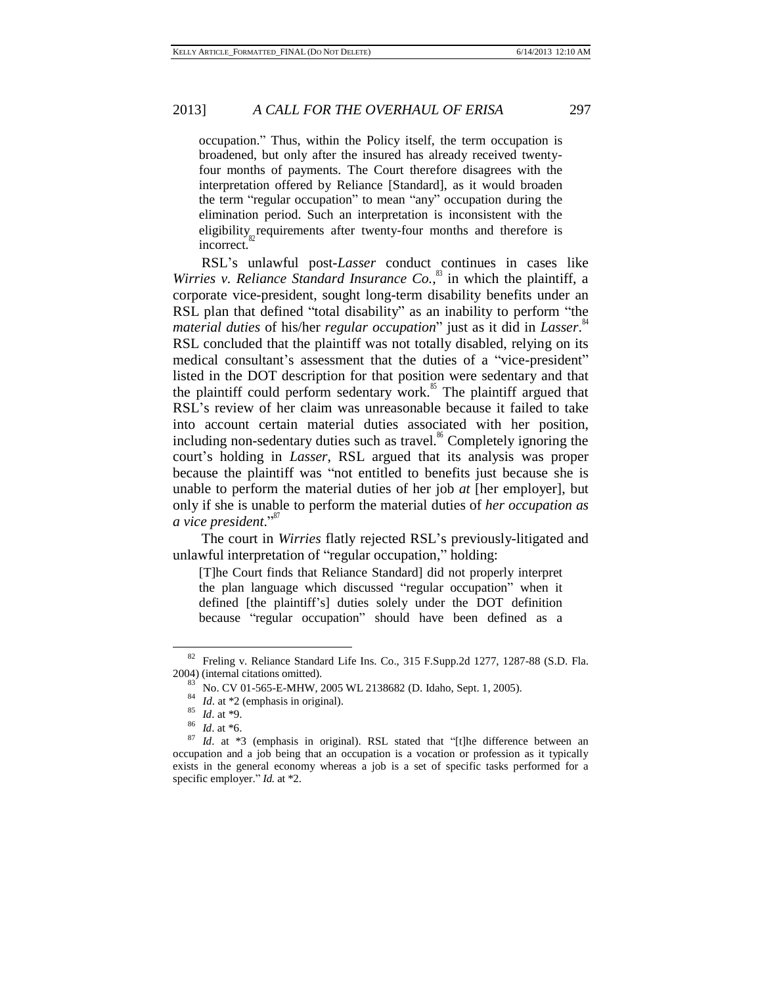occupation." Thus, within the Policy itself, the term occupation is broadened, but only after the insured has already received twentyfour months of payments. The Court therefore disagrees with the interpretation offered by Reliance [Standard], as it would broaden the term "regular occupation" to mean "any" occupation during the elimination period. Such an interpretation is inconsistent with the eligibility<sub><sub>82</sub> requirements after twenty-four months and therefore is</sub> incorrect.

RSL's unlawful post-*Lasser* conduct continues in cases like *[Wirries v. Reliance](http://www.westlaw.com/Find/Default.wl?rs=dfa1.0&vr=2.0&DB=0000999&FindType=Y&SerialNum=2007245526) Standard [Insurance](http://www.westlaw.com/Find/Default.wl?rs=dfa1.0&vr=2.0&DB=0000999&FindType=Y&SerialNum=2007245526) Co.*, <sup>83</sup> in which the plaintiff, a corporate vice-president, sought long-term disability benefits under an RSL plan that defined "total disability" as an inability to perform "the *material duties* of his/her *regular occupation*" just as it did in *Lasser*. 84 RSL concluded that the plaintiff was not totally disabled, relying on its medical consultant's assessment that the duties of a "vice-president" listed in the DOT description for that position were sedentary and that the plaintiff could perform sedentary work.<sup>85</sup> The plaintiff argued that RSL's review of her claim was unreasonable because it failed to take into account certain material duties associated with her position, including non-sedentary duties such as travel.<sup>86</sup> Completely ignoring the court's holding in *Lasser*, RSL argued that its analysis was proper because the plaintiff was "not entitled to benefits just because she is unable to perform the material duties of her job *at* [her employer], but only if she is unable to perform the material duties of *her occupation as a vice president*." 87

The court in *Wirries* flatly rejected RSL's previously-litigated and unlawful interpretation of "regular occupation," holding:

[T]he Court finds that Reliance Standard] did not properly interpret the plan language which discussed "regular occupation" when it defined [the plaintiff's] duties solely under the DOT definition because "regular occupation" should have been defined as a

<sup>82</sup> Freling v. Reliance Standard Life Ins. Co., 315 F.Supp.2d 1277, 1287-88 (S.D. Fla. 2004) (internal citations omitted).

<sup>83</sup> No. CV 01-565-E-MHW, 2005 WL 2138682 (D. Idaho, Sept. 1, 2005).

<sup>&</sup>lt;sup>84</sup> *Id.* at \*2 (emphasis in original).

 $\frac{85}{86}$  *Id.* at \*9.

 $\frac{86}{87}$  *Id.* at \*6.

Id. at \*3 (emphasis in original). RSL stated that "[t]he difference between an occupation and a job being that an occupation is a vocation or profession as it typically exists in the general economy whereas a job is a set of specific tasks performed for a specific employer." *Id.* at \*2.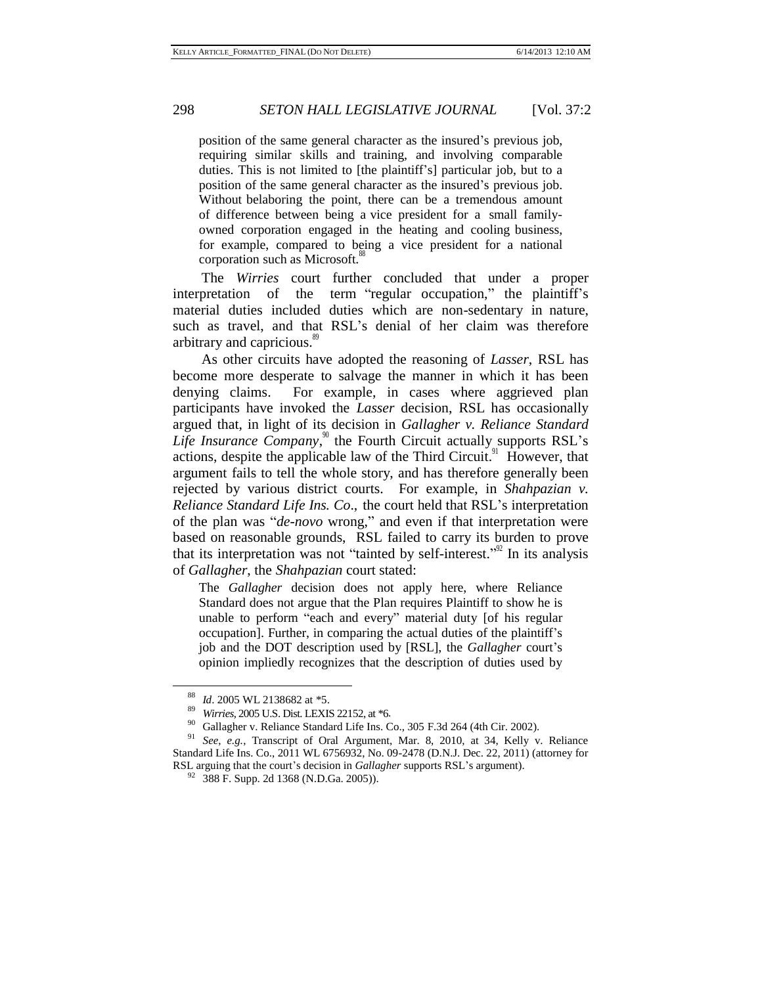position of the same general character as the insured's previous job, requiring similar skills and training, and involving comparable duties. This is not limited to [the plaintiff's] particular job, but to a position of the same general character as the insured's previous job. Without belaboring the point, there can be a tremendous amount of difference between being a vice president for a small familyowned corporation engaged in the heating and cooling business, for example, compared to being a vice president for a national corporation such as Microsoft. 88

The *Wirries* court further concluded that under a proper interpretation of the term "regular occupation," the plaintiff's material duties included duties which are non-sedentary in nature, such as travel, and that RSL's denial of her claim was therefore arbitrary and capricious. 89

As other circuits have adopted the reasoning of *Lasser*, RSL has become more desperate to salvage the manner in which it has been denying claims. For example, in cases where aggrieved plan participants have invoked the *Lasser* decision, RSL has occasionally argued that, in light of its decision in *Gallagher v. Reliance Standard* Life Insurance Company, $\delta$ <sup>90</sup> the Fourth Circuit actually supports RSL's actions, despite the applicable law of the Third Circuit.<sup>91</sup> However, that argument fails to tell the whole story, and has therefore generally been rejected by various district courts. For example, in *Shahpazian v. Reliance Standard Life Ins. Co*., the court held that RSL's interpretation of the plan was "*de-novo* wrong," and even if that interpretation were based on reasonable grounds, RSL failed to carry its burden to prove that its interpretation was not "tainted by self-interest."<sup>92</sup> In its analysis of *Gallagher*, the *Shahpazian* court stated:

The *Gallagher* decision does not apply here, where Reliance Standard does not argue that the Plan requires Plaintiff to show he is unable to perform "each and every" material duty [of his regular occupation]. Further, in comparing the actual duties of the plaintiff's job and the DOT description used by [RSL], the *Gallagher* court's opinion impliedly recognizes that the description of duties used by

 $^{88}$  *Id.* 2005 WL [2138682 at](http://www.westlaw.com/Find/Default.wl?rs=dfa1.0&vr=2.0&DB=0000999&FindType=Y&SerialNum=2007245526) \*5.

<sup>89</sup> *Wirries*, 2005 U.S. Dist. LEXIS 22152, at \*6.

<sup>&</sup>lt;sup>90</sup> Gallagher v. Reliance Standard Life Ins. Co., 305 F.3d 264 (4th Cir. 2002).

See, e.g., Transcript of Oral Argument, Mar. 8, 2010, at 34, Kelly v. Reliance Standard Life Ins. Co., 2011 WL 6756932, No. 09-2478 (D.N.J. Dec. 22, 2011) (attorney for RSL arguing that the court's decision in *Gallagher* supports RSL's argument).

 $92$  388 F. Supp. 2d 1368 (N.D.Ga. 2005)).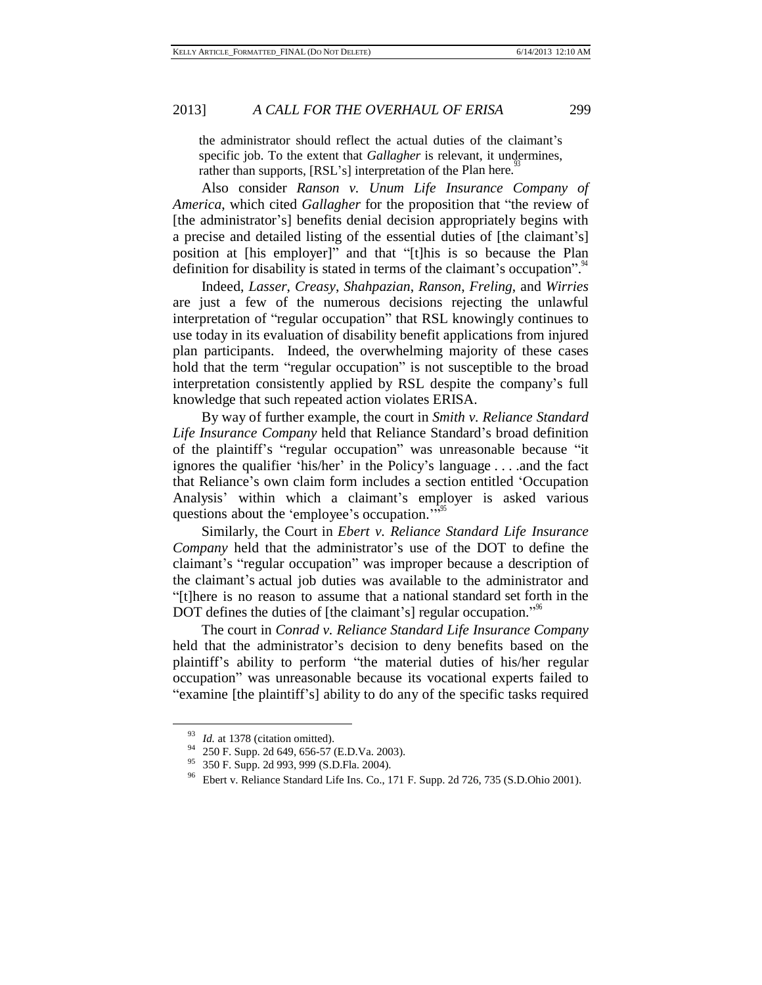the administrator should reflect the actual duties of the claimant's specific job. To the extent that *Gallagher* is relevant, it undermines, rather than supports, [RSL's] interpretation of the Plan here.<sup>93</sup>

Also consider *Ranson v. Unum Life Insurance Company of America*, which cited *Gallagher* for the proposition that "the review of [the administrator's] benefits denial decision appropriately begins with a precise and detailed listing of the essential duties of [the claimant's] position at [his employer]" and that "[t]his is so because the Plan definition for disability is stated in terms of the claimant's occupation".<sup>94</sup>

Indeed, *Lasser*, *Creasy*, *Shahpazian*, *Ranson*, *Freling*, and *Wirries* are just a few of the numerous decisions rejecting the unlawful interpretation of "regular occupation" that RSL knowingly continues to use today in its evaluation of disability benefit applications from injured plan participants. Indeed, the overwhelming majority of these cases hold that the term "regular occupation" is not susceptible to the broad interpretation consistently applied by RSL despite the company's full knowledge that such repeated action violates ERISA.

By way of further example, the court in *Smith [v. Reliance](http://www.westlaw.com/Find/Default.wl?rs=dfa1.0&vr=2.0&DB=4637&FindType=Y&ReferencePositionType=S&SerialNum=2005840627&ReferencePosition=999) Standard Life [Insurance Company](http://www.westlaw.com/Find/Default.wl?rs=dfa1.0&vr=2.0&DB=4637&FindType=Y&ReferencePositionType=S&SerialNum=2005840627&ReferencePosition=999)* held that Reliance Standard's broad definition of the plaintiff's "regular occupation" was unreasonable because "it ignores the qualifier 'his/her' in the Policy's language . . . .and the fact that Reliance's own claim form includes a section entitled 'Occupation Analysis' within which a claimant's employer is asked various questions about the 'employee's occupation."<sup>"</sup>

Similarly, the Court in *Ebert v. Reliance Standard Life [Insurance](http://www.westlaw.com/Find/Default.wl?rs=dfa1.0&vr=2.0&DB=4637&FindType=Y&ReferencePositionType=S&SerialNum=2001989065&ReferencePosition=735) [Company](http://www.westlaw.com/Find/Default.wl?rs=dfa1.0&vr=2.0&DB=4637&FindType=Y&ReferencePositionType=S&SerialNum=2001989065&ReferencePosition=735)* held that the administrator's use of the DOT to define the claimant's "regular occupation" was improper because a description of the claimant's actual job duties was available to the administrator and "[t]here is no reason to assume that a national standard set forth in the DOT defines the duties of [the claimant's] regular occupation."<sup>%</sup>

The court in *Conrad v. [Reliance Standard](http://www.westlaw.com/Find/Default.wl?rs=dfa1.0&vr=2.0&DB=4637&FindType=Y&ReferencePositionType=S&SerialNum=2003742648&ReferencePosition=240) Life Insurance Compan[y](http://www.westlaw.com/Find/Default.wl?rs=dfa1.0&vr=2.0&DB=4637&FindType=Y&ReferencePositionType=S&SerialNum=2003742648&ReferencePosition=240)* held that the administrator's decision to deny benefits based on the plaintiff's ability to perform "the material duties of his/her regular occupation" was unreasonable because its vocational experts failed to "examine [the plaintiff's] ability to do any of the specific tasks required

Id. at 1378 (citation omitted).

[<sup>250</sup> F. Supp. 2d 649, 656-57 \(E.D.Va.](http://www.westlaw.com/Find/Default.wl?rs=dfa1.0&vr=2.0&DB=4637&FindType=Y&ReferencePositionType=S&SerialNum=2003219538&ReferencePosition=656) 2003).

<sup>95</sup> 350 F. Supp. 2d 993, 999 (S.D.Fla. 2004).

<sup>96</sup> Ebert v. Reliance Standard Life Ins. Co., 171 F. Supp. 2d 726, 735 (S.D.Ohio 2001).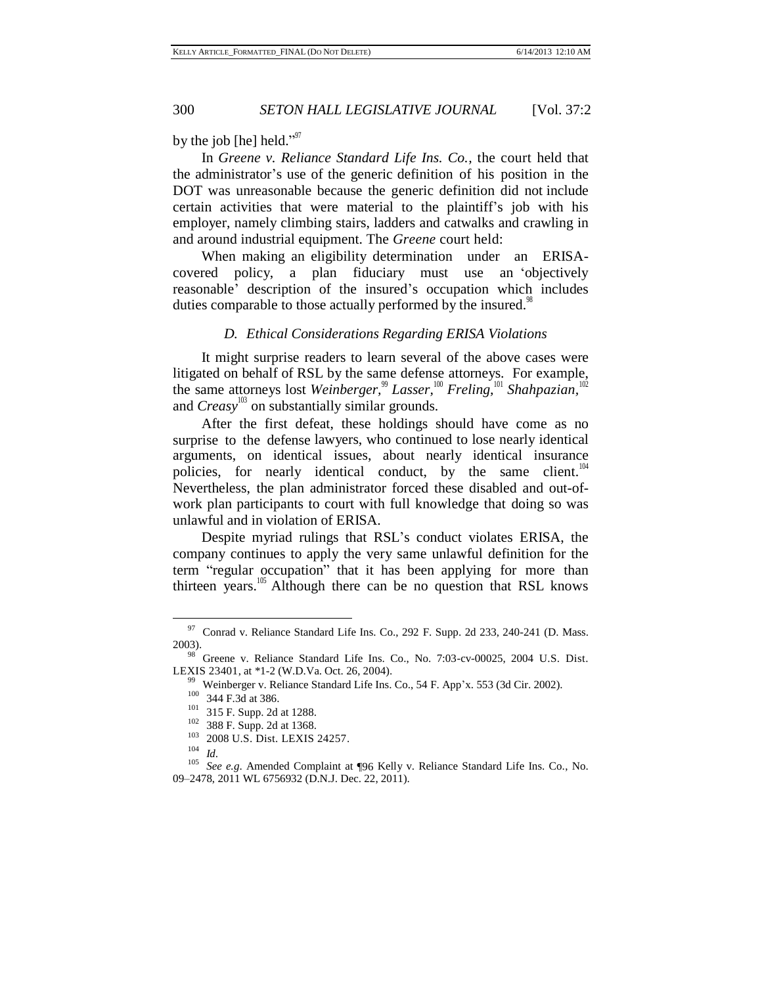by the job [he] held."<sup>97</sup>

In *Greene v. Reliance [Standard](http://www.westlaw.com/Find/Default.wl?rs=dfa1.0&vr=2.0&DB=0000999&FindType=Y&SerialNum=2005546939) Life Ins. Co.,* the court held that the administrator's use of the generic definition of his position in the DOT was unreasonable because the generic definition did not include certain activities that were material to the plaintiff's job with his employer, namely climbing stairs, ladders and catwalks and crawling in and around industrial equipment. The *Greene* court held:

When making an eligibility determination under an ERISAcovered policy, a plan fiduciary must use an 'objectively reasonable' description of the insured's occupation which includes duties comparable to those actually performed by the insured.<sup>98</sup>

#### *D. Ethical Considerations Regarding ERISA Violations*

It might surprise readers to learn several of the above cases were litigated on behalf of RSL by the same defense attorneys. For example, the same attorneys lost *Weinberger*,<sup>99</sup> *Lasser*,<sup>100</sup> *Freling*,<sup>101</sup> *Shahpazian*,<sup>10</sup> and *Creasy*<sup>103</sup> on substantially similar grounds.

After the first defeat, these holdings should have come as no surprise to the defense lawyers, who continued to lose nearly identical arguments, on identical issues, about nearly identical insurance policies, for nearly identical conduct, by the same client.<sup>104</sup> Nevertheless, the plan administrator forced these disabled and out-ofwork plan participants to court with full knowledge that doing so was unlawful and in violation of ERISA.

Despite myriad rulings that RSL's conduct violates ERISA, the company continues to apply the very same unlawful definition for the term "regular occupation" that it has been applying for more than thirteen years.<sup>105</sup> Although there can be no question that RSL knows

 $97$  Conrad v. Reliance Standard Life Ins. Co., 292 F. Supp. 2d 233, 240-241 (D. Mass. 2003).

<sup>98</sup> Greene v. Reliance Standard Life Ins. Co., No. 7:03-cv-00025, 2004 U.S. Dist. LEXIS 23401, at \*1-2 (W.D.Va. Oct. 26, 2004).

<sup>&</sup>lt;sup>99</sup> Weinberger v. Reliance Standard Life Ins. Co., 54 F. App'x. 553 (3d Cir. 2002).

 $^{100}\,$  344 F.3d at 386.

<sup>101</sup> 315 F. Supp. 2d at 1288.

<sup>102</sup> 388 F. Supp. 2d at 1368.

<sup>103</sup> 2008 U.S. Dist. LEXIS 24257.

<sup>104</sup> *Id*.

<sup>105</sup> *See e.g*. Amended Complaint at ¶96 Kelly v. Reliance Standard Life Ins. Co., No. 09–2478, 2011 WL 6756932 (D.N.J. Dec. 22, 2011).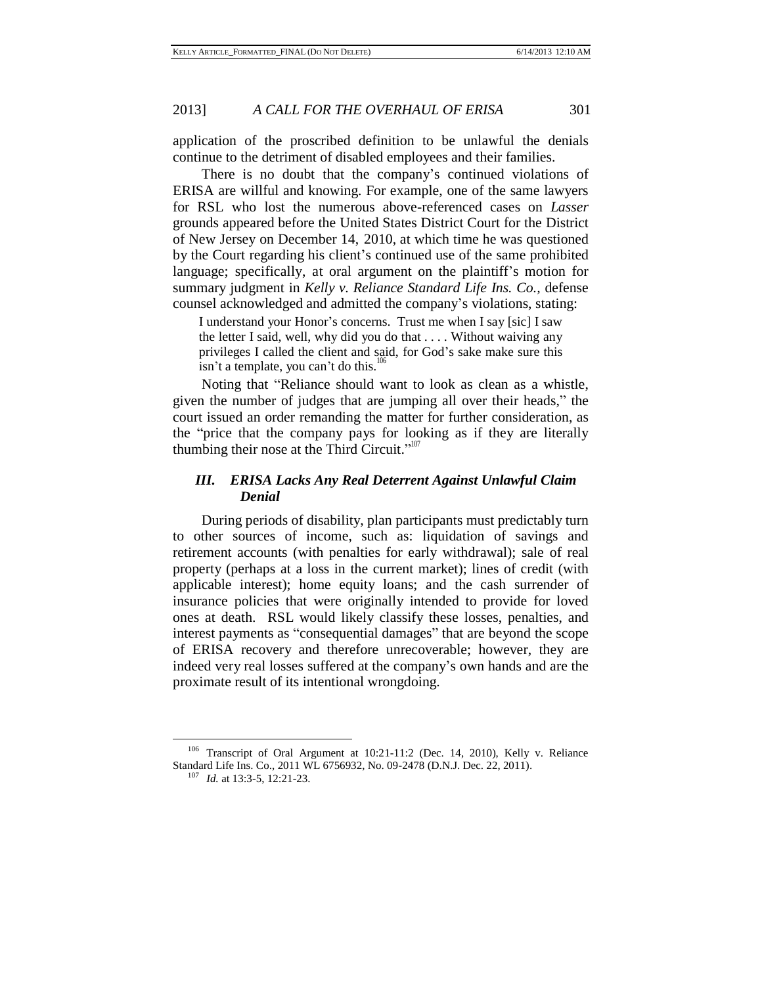application of the proscribed definition to be unlawful the denials continue to the detriment of disabled employees and their families.

There is no doubt that the company's continued violations of ERISA are willful and knowing. For example, one of the same lawyers for RSL who lost the numerous above-referenced cases on *Lasser* grounds appeared before the United States District Court for the District of New Jersey on December 14, 2010, at which time he was questioned by the Court regarding his client's continued use of the same prohibited language; specifically, at oral argument on the plaintiff's motion for summary judgment in *Kelly v. Reliance Standard Life Ins. Co.,* defense counsel acknowledged and admitted the company's violations, stating:

I understand your Honor's concerns. Trust me when I say [sic] I saw the letter I said, well, why did you do that . . . . Without waiving any privileges I called the client and said, for God's sake make sure this isn't a template, you can't do this.<sup>1</sup>

Noting that "Reliance should want to look as clean as a whistle, given the number of judges that are jumping all over their heads," the court issued an order remanding the matter for further consideration, as the "price that the company pays for looking as if they are literally thumbing their nose at the Third Circuit." $107$ 

#### *III. ERISA Lacks Any Real Deterrent Against Unlawful Claim Denial*

During periods of disability, plan participants must predictably turn to other sources of income, such as: liquidation of savings and retirement accounts (with penalties for early withdrawal); sale of real property (perhaps at a loss in the current market); lines of credit (with applicable interest); home equity loans; and the cash surrender of insurance policies that were originally intended to provide for loved ones at death. RSL would likely classify these losses, penalties, and interest payments as "consequential damages" that are beyond the scope of ERISA recovery and therefore unrecoverable; however, they are indeed very real losses suffered at the company's own hands and are the proximate result of its intentional wrongdoing.

<sup>106</sup> Transcript of Oral Argument at 10:21-11:2 (Dec. 14, 2010), Kelly v. Reliance Standard Life Ins. Co., 2011 WL 6756932, No. 09-2478 (D.N.J. Dec. 22, 2011).

<sup>107</sup> *Id.* at 13:3-5, 12:21-23.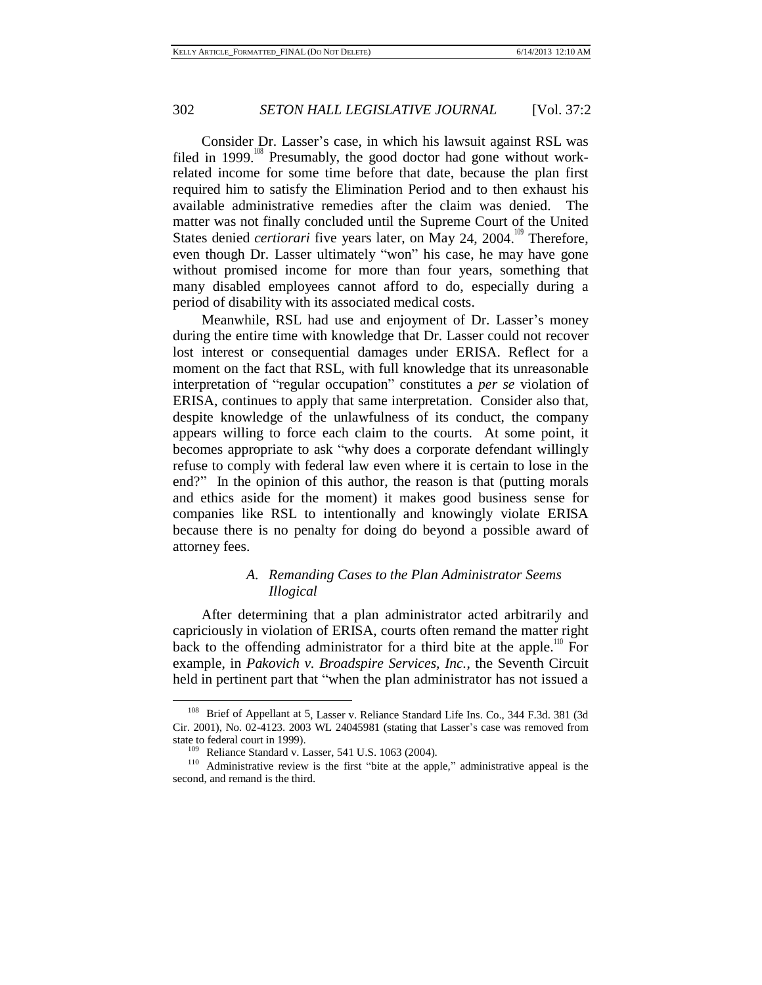Consider Dr. Lasser's case, in which his lawsuit against RSL was filed in 1999.<sup>108</sup> Presumably, the good doctor had gone without workrelated income for some time before that date, because the plan first required him to satisfy the Elimination Period and to then exhaust his available administrative remedies after the claim was denied. The matter was not finally concluded until the Supreme Court of the United States denied *certiorari* five years later, on May 24, 2004.<sup>109</sup> Therefore, even though Dr. Lasser ultimately "won" his case, he may have gone without promised income for more than four years, something that many disabled employees cannot afford to do, especially during a period of disability with its associated medical costs.

Meanwhile, RSL had use and enjoyment of Dr. Lasser's money during the entire time with knowledge that Dr. Lasser could not recover lost interest or consequential damages under ERISA. Reflect for a moment on the fact that RSL, with full knowledge that its unreasonable interpretation of "regular occupation" constitutes a *per se* violation of ERISA, continues to apply that same interpretation. Consider also that, despite knowledge of the unlawfulness of its conduct, the company appears willing to force each claim to the courts. At some point, it becomes appropriate to ask "why does a corporate defendant willingly refuse to comply with federal law even where it is certain to lose in the end?" In the opinion of this author, the reason is that (putting morals and ethics aside for the moment) it makes good business sense for companies like RSL to intentionally and knowingly violate ERISA because there is no penalty for doing do beyond a possible award of attorney fees.

## *A. Remanding Cases to the Plan Administrator Seems Illogical*

After determining that a plan administrator acted arbitrarily and capriciously in violation of ERISA, courts often remand the matter right back to the offending administrator for a third bite at the apple.<sup>110</sup> For example, in *Pakovich v. Broadspire Services, Inc.*, the Seventh Circuit held in pertinent part that "when the plan administrator has not issued a

<sup>108</sup> Brief of Appellant at 5, Lasser v. Reliance Standard Life Ins. Co., 344 F.3d. 381 (3d Cir. 2001), No. 02-4123. 2003 WL 24045981 (stating that Lasser's case was removed from state to federal court in 1999).

<sup>109</sup> Reliance Standard v. Lasser, 541 U.S. 1063 (2004).

<sup>110</sup> Administrative review is the first "bite at the apple," administrative appeal is the second, and remand is the third.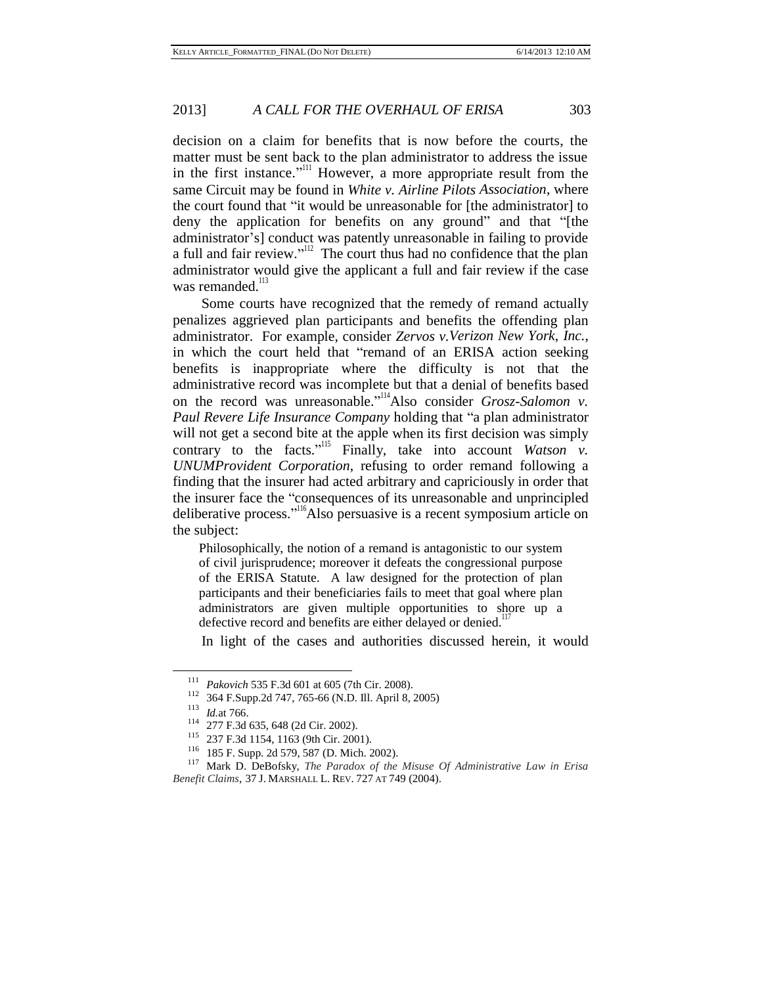decision on a claim for benefits that is now before the courts, the matter must be sent back to the plan administrator to address the issue in the first instance."<sup>III</sup> However, a more appropriate result from the same Circuit may be found in *White v. Airline Pilots Association*, where the court found that "it would be unreasonable for [the administrator] to deny the application for benefits on any ground" and that "[the administrator's] conduct was patently unreasonable in failing to provide a full and fair review.<sup>"[12]</sup> The court thus had no confidence that the plan administrator would give the applicant a full and fair review if the case was remanded.<sup>113</sup>

Some courts have recognized that the remedy of remand actually penalizes aggrieved plan participants and benefits the offending plan administrator. For example, consider *Zervos v.Verizon New York, Inc.*, in which the court held that "remand of an ERISA action seeking benefits is inappropriate where the difficulty is not that the administrative record was incomplete but that a denial of benefits based on the record was unreasonable."<sup>114</sup>Also consider *Grosz-Salomon v*. *Paul Revere Life Insurance Company* holding that "a plan administrator will not get a second bite at the apple when its first decision was simply contrary to the facts."<sup>Its</sup> Finally, take into account *Watson v. UNUMProvident Corporation*, refusing to order remand following a finding that the insurer had acted arbitrary and capriciously in order that the insurer face the "consequences of its unreasonable and unprincipled deliberative process."<sup>116</sup>Also persuasive is a recent symposium article on the subject:

Philosophically, the notion of a remand is antagonistic to our system of civil jurisprudence; moreover it defeats the congressional purpose of the ERISA Statute. A law designed for the protection of plan participants and their beneficiaries fails to meet that goal where plan administrators are given multiple opportunities to shore up a defective record and benefits are either delayed or denied.<sup>117</sup>

In light of the cases and authorities discussed herein, it would

<sup>111</sup> *Pakovich* 535 F.3d 601 at 605 (7th Cir. 2008).

<sup>&</sup>lt;sup>112</sup> 364 F.Supp.2d 747, 765-66 (N.D. Ill. April 8, 2005)<br><sup>113</sup> *M* at 766

 $\frac{113}{114}$  *Id.*at 766.

<sup>&</sup>lt;sup>114</sup> 277 F.3d 635, 648 (2d Cir. 2002).

<sup>237</sup> F.3d 1154, 1163 (9th Cir. 2001).

<sup>&</sup>lt;sup>116</sup> 185 F. Supp. 2d 579, 587 (D. Mich. 2002).

<sup>117</sup> Mark D. DeBofsky, *The Paradox of the Misuse Of Administrative Law in Erisa Benefit Claims*, 37 J. MARSHALL L. REV. 727 AT 749 (2004).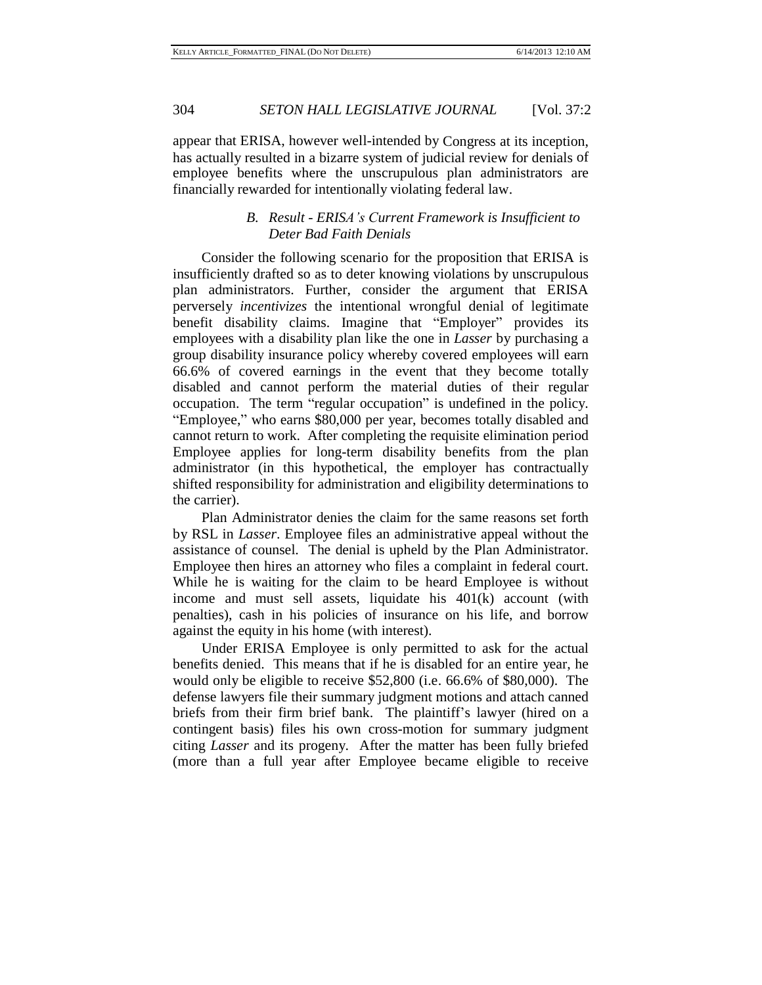appear that ERISA, however well-intended by Congress at its inception, has actually resulted in a bizarre system of judicial review for denials of employee benefits where the unscrupulous plan administrators are financially rewarded for intentionally violating federal law.

## *B. Result - ERISA's Current Framework is Insufficient to Deter Bad Faith Denials*

Consider the following scenario for the proposition that ERISA is insufficiently drafted so as to deter knowing violations by unscrupulous plan administrators. Further, consider the argument that ERISA perversely *incentivizes* the intentional wrongful denial of legitimate benefit disability claims. Imagine that "Employer" provides its employees with a disability plan like the one in *Lasser* by purchasing a group disability insurance policy whereby covered employees will earn 66.6% of covered earnings in the event that they become totally disabled and cannot perform the material duties of their regular occupation. The term "regular occupation" is undefined in the policy. "Employee," who earns \$80,000 per year, becomes totally disabled and cannot return to work. After completing the requisite elimination period Employee applies for long-term disability benefits from the plan administrator (in this hypothetical, the employer has contractually shifted responsibility for administration and eligibility determinations to the carrier).

Plan Administrator denies the claim for the same reasons set forth by RSL in *Lasser*. Employee files an administrative appeal without the assistance of counsel. The denial is upheld by the Plan Administrator. Employee then hires an attorney who files a complaint in federal court. While he is waiting for the claim to be heard Employee is without income and must sell assets, liquidate his 401(k) account (with penalties), cash in his policies of insurance on his life, and borrow against the equity in his home (with interest).

Under ERISA Employee is only permitted to ask for the actual benefits denied. This means that if he is disabled for an entire year, he would only be eligible to receive \$52,800 (i.e. 66.6% of \$80,000). The defense lawyers file their summary judgment motions and attach canned briefs from their firm brief bank. The plaintiff's lawyer (hired on a contingent basis) files his own cross-motion for summary judgment citing *Lasser* and its progeny. After the matter has been fully briefed (more than a full year after Employee became eligible to receive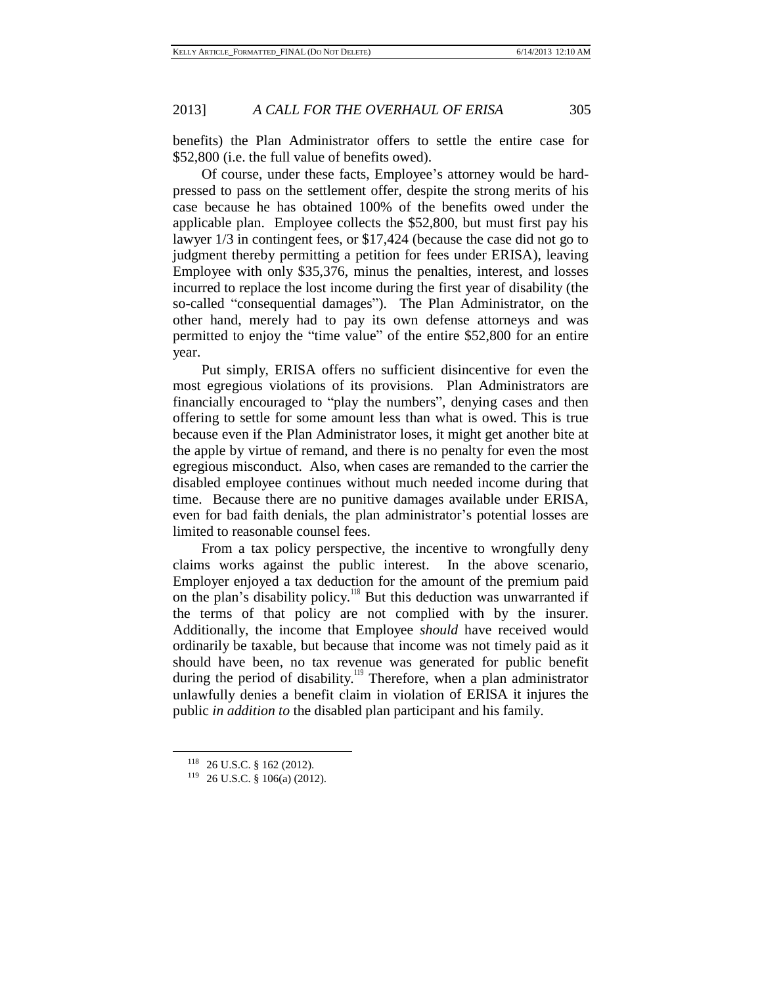benefits) the Plan Administrator offers to settle the entire case for \$52,800 (i.e. the full value of benefits owed).

Of course, under these facts, Employee's attorney would be hardpressed to pass on the settlement offer, despite the strong merits of his case because he has obtained 100% of the benefits owed under the applicable plan. Employee collects the \$52,800, but must first pay his lawyer 1/3 in contingent fees, or \$17,424 (because the case did not go to judgment thereby permitting a petition for fees under ERISA), leaving Employee with only \$35,376, minus the penalties, interest, and losses incurred to replace the lost income during the first year of disability (the so-called "consequential damages"). The Plan Administrator, on the other hand, merely had to pay its own defense attorneys and was permitted to enjoy the "time value" of the entire \$52,800 for an entire year.

Put simply, ERISA offers no sufficient disincentive for even the most egregious violations of its provisions. Plan Administrators are financially encouraged to "play the numbers", denying cases and then offering to settle for some amount less than what is owed. This is true because even if the Plan Administrator loses, it might get another bite at the apple by virtue of remand, and there is no penalty for even the most egregious misconduct. Also, when cases are remanded to the carrier the disabled employee continues without much needed income during that time. Because there are no punitive damages available under ERISA, even for bad faith denials, the plan administrator's potential losses are limited to reasonable counsel fees.

From a tax policy perspective, the incentive to wrongfully deny claims works against the public interest. In the above scenario, Employer enjoyed a tax deduction for the amount of the premium paid on the plan's disability policy.<sup>118</sup> But this deduction was unwarranted if the terms of that policy are not complied with by the insurer. Additionally, the income that Employee *should* have received would ordinarily be taxable, but because that income was not timely paid as it should have been, no tax revenue was generated for public benefit during the period of disability.<sup>119</sup> Therefore, when a plan administrator unlawfully denies a benefit claim in violation of ERISA it injures the public *in addition to* the disabled plan participant and his family.

<sup>118</sup> 26 U.S.C. § 162 (2012).

<sup>119</sup> 26 U.S.C. § 106(a) (2012).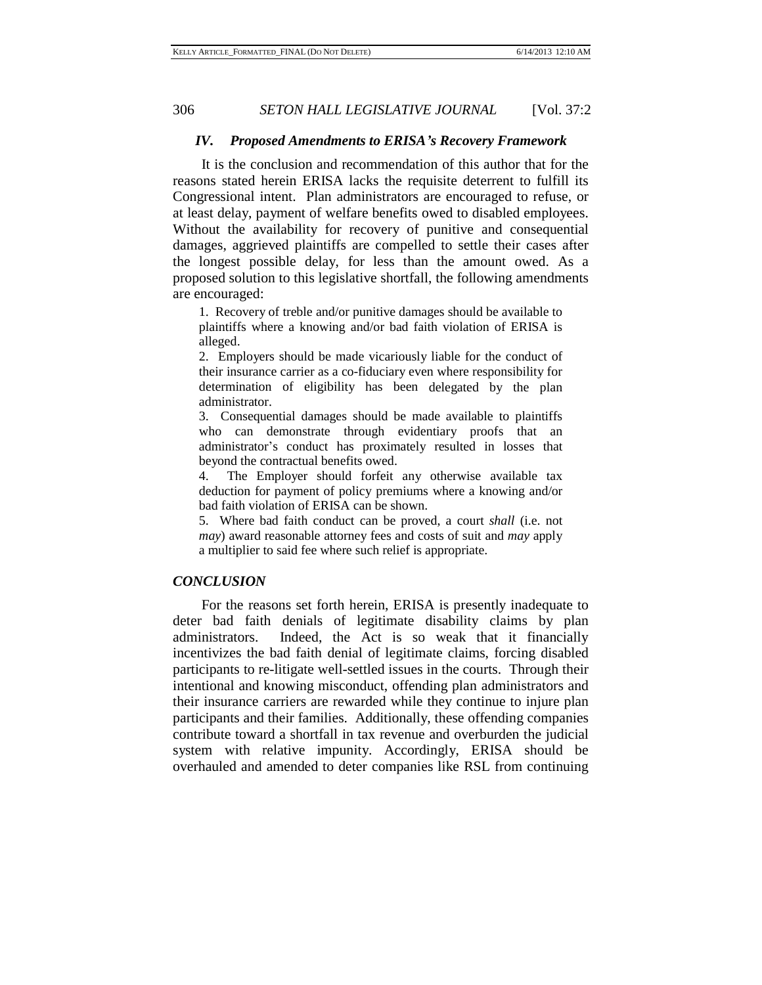#### *IV. Proposed Amendments to ERISA's Recovery Framework*

It is the conclusion and recommendation of this author that for the reasons stated herein ERISA lacks the requisite deterrent to fulfill its Congressional intent. Plan administrators are encouraged to refuse, or at least delay, payment of welfare benefits owed to disabled employees. Without the availability for recovery of punitive and consequential damages, aggrieved plaintiffs are compelled to settle their cases after the longest possible delay, for less than the amount owed. As a proposed solution to this legislative shortfall, the following amendments are encouraged:

1. Recovery of treble and/or punitive damages should be available to plaintiffs where a knowing and/or bad faith violation of ERISA is alleged.

2. Employers should be made vicariously liable for the conduct of their insurance carrier as a co-fiduciary even where responsibility for determination of eligibility has been delegated by the plan administrator.

3. Consequential damages should be made available to plaintiffs who can demonstrate through evidentiary proofs that an administrator's conduct has proximately resulted in losses that beyond the contractual benefits owed.

4. The Employer should forfeit any otherwise available tax deduction for payment of policy premiums where a knowing and/or bad faith violation of ERISA can be shown.

5. Where bad faith conduct can be proved, a court *shall* (i.e. not *may*) award reasonable attorney fees and costs of suit and *may* apply a multiplier to said fee where such relief is appropriate.

#### *CONCLUSION*

For the reasons set forth herein, ERISA is presently inadequate to deter bad faith denials of legitimate disability claims by plan administrators. Indeed, the Act is so weak that it financially incentivizes the bad faith denial of legitimate claims, forcing disabled participants to re-litigate well-settled issues in the courts. Through their intentional and knowing misconduct, offending plan administrators and their insurance carriers are rewarded while they continue to injure plan participants and their families. Additionally, these offending companies contribute toward a shortfall in tax revenue and overburden the judicial system with relative impunity. Accordingly, ERISA should be overhauled and amended to deter companies like RSL from continuing